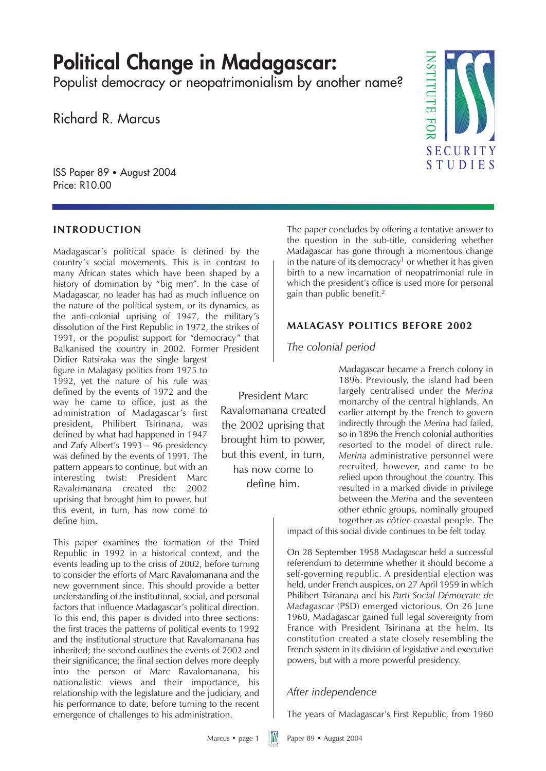# **Political Change in Madagascar:**

Populist democracy or neopatrimonialism by another name?

Richard R. Marcus

ISS Paper 89 • August 2004 Price: R10.00

### **INTRODUCTION**

Madagascar's political space is defined by the country's social movements. This is in contrast to many African states which have been shaped by a history of domination by "big men". In the case of Madagascar, no leader has had as much influence on the nature of the political system, or its dynamics, as the anti-colonial uprising of 1947, the military's dissolution of the First Republic in 1972, the strikes of 1991, or the populist support for "democracy" that Balkanised the country in 2002. Former President

Didier Ratsiraka was the single largest figure in Malagasy politics from 1975 to 1992, yet the nature of his rule was defined by the events of 1972 and the way he came to office, just as the administration of Madagascar's first president, Philibert Tsirinana, was defined by what had happened in 1947 and Zafy Albert's 1993 – 96 presidency was defined by the events of 1991. The pattern appears to continue, but with an interesting twist: President Marc Ravalomanana created the 2002 uprising that brought him to power, but this event, in turn, has now come to define him.

This paper examines the formation of the Third Republic in 1992 in a historical context, and the events leading up to the crisis of 2002, before turning to consider the efforts of Marc Ravalomanana and the new government since. This should provide a better understanding of the institutional, social, and personal factors that influence Madagascar's political direction. To this end, this paper is divided into three sections: the first traces the patterns of political events to 1992 and the institutional structure that Ravalomanana has inherited; the second outlines the events of 2002 and their significance; the final section delves more deeply into the person of Marc Ravalomanana, his nationalistic views and their importance, his relationship with the legislature and the judiciary, and his performance to date, before turning to the recent emergence of challenges to his administration.

The paper concludes by offering a tentative answer to the question in the sub-title, considering whether Madagascar has gone through a momentous change in the nature of its democracy<sup>1</sup> or whether it has given birth to a new incarnation of neopatrimonial rule in which the president's office is used more for personal gain than public benefit.2

#### **MALAGASY POLITICS BEFORE 2002**

#### *The colonial period*

President Marc Ravalomanana created the 2002 uprising that brought him to power, but this event, in turn, has now come to define him.

Madagascar became a French colony in 1896. Previously, the island had been largely centralised under the *Merina* monarchy of the central highlands. An earlier attempt by the French to govern indirectly through the *Merina* had failed, so in 1896 the French colonial authorities resorted to the model of direct rule. *Merina* administrative personnel were recruited, however, and came to be relied upon throughout the country. This resulted in a marked divide in privilege between the *Merina* and the seventeen other ethnic groups, nominally grouped together as *côtier*-coastal people. The

impact of this social divide continues to be felt today.

On 28 September 1958 Madagascar held a successful referendum to determine whether it should become a self-governing republic. A presidential election was held, under French auspices, on 27 April 1959 in which Philibert Tsiranana and his *Parti Social Démocrate de Madagascar* (PSD) emerged victorious. On 26 June 1960, Madagascar gained full legal sovereignty from France with President Tsirinana at the helm. Its constitution created a state closely resembling the French system in its division of legislative and executive powers, but with a more powerful presidency.

# *After independence*

The years of Madagascar's First Republic, from 1960

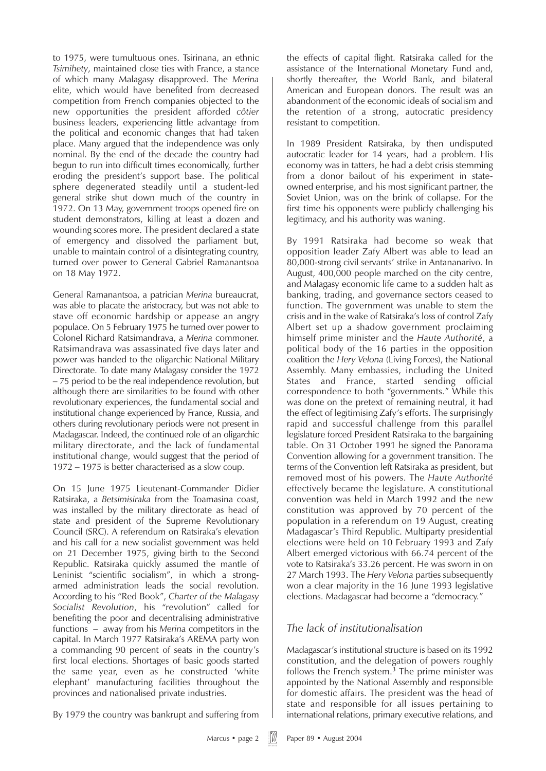to 1975, were tumultuous ones. Tsirinana, an ethnic *Tsimihety*, maintained close ties with France, a stance of which many Malagasy disapproved. The *Merina* elite, which would have benefited from decreased competition from French companies objected to the new opportunities the president afforded *côtier* business leaders, experiencing little advantage from the political and economic changes that had taken place. Many argued that the independence was only nominal. By the end of the decade the country had begun to run into difficult times economically, further eroding the president's support base. The political sphere degenerated steadily until a student-led general strike shut down much of the country in 1972. On 13 May, government troops opened fire on student demonstrators, killing at least a dozen and wounding scores more. The president declared a state of emergency and dissolved the parliament but, unable to maintain control of a disintegrating country, turned over power to General Gabriel Ramanantsoa on 18 May 1972.

General Ramanantsoa, a patrician *Merina* bureaucrat, was able to placate the aristocracy, but was not able to stave off economic hardship or appease an angry populace. On 5 February 1975 he turned over power to Colonel Richard Ratsimandrava, a *Merina* commoner. Ratsimandrava was assassinated five days later and power was handed to the oligarchic National Military Directorate. To date many Malagasy consider the 1972 – 75 period to be the real independence revolution, but although there are similarities to be found with other revolutionary experiences, the fundamental social and institutional change experienced by France, Russia, and others during revolutionary periods were not present in Madagascar. Indeed, the continued role of an oligarchic military directorate, and the lack of fundamental institutional change, would suggest that the period of 1972 – 1975 is better characterised as a slow coup.

On 15 June 1975 Lieutenant-Commander Didier Ratsiraka, a *Betsimisiraka* from the Toamasina coast, was installed by the military directorate as head of state and president of the Supreme Revolutionary Council (SRC). A referendum on Ratsiraka's elevation and his call for a new socialist government was held on 21 December 1975, giving birth to the Second Republic. Ratsiraka quickly assumed the mantle of Leninist "scientific socialism", in which a strongarmed administration leads the social revolution. According to his "Red Book", *Charter of the Malagasy Socialist Revolution*, his "revolution" called for benefiting the poor and decentralising administrative functions – away from his *Merina* competitors in the capital. In March 1977 Ratsiraka's AREMA party won a commanding 90 percent of seats in the country's first local elections. Shortages of basic goods started the same year, even as he constructed 'white elephant' manufacturing facilities throughout the provinces and nationalised private industries.

By 1979 the country was bankrupt and suffering from

the effects of capital flight. Ratsiraka called for the assistance of the International Monetary Fund and, shortly thereafter, the World Bank, and bilateral American and European donors. The result was an abandonment of the economic ideals of socialism and the retention of a strong, autocratic presidency resistant to competition.

In 1989 President Ratsiraka, by then undisputed autocratic leader for 14 years, had a problem. His economy was in tatters, he had a debt crisis stemming from a donor bailout of his experiment in stateowned enterprise, and his most significant partner, the Soviet Union, was on the brink of collapse. For the first time his opponents were publicly challenging his legitimacy, and his authority was waning.

By 1991 Ratsiraka had become so weak that opposition leader Zafy Albert was able to lead an 80,000-strong civil servants' strike in Antananarivo. In August, 400,000 people marched on the city centre, and Malagasy economic life came to a sudden halt as banking, trading, and governance sectors ceased to function. The government was unable to stem the crisis and in the wake of Ratsiraka's loss of control Zafy Albert set up a shadow government proclaiming himself prime minister and the *Haute Authorité*, a political body of the 16 parties in the opposition coalition the *Hery Velona* (Living Forces), the National Assembly. Many embassies, including the United States and France, started sending official correspondence to both "governments." While this was done on the pretext of remaining neutral, it had the effect of legitimising Zafy's efforts. The surprisingly rapid and successful challenge from this parallel legislature forced President Ratsiraka to the bargaining table. On 31 October 1991 he signed the Panorama Convention allowing for a government transition. The terms of the Convention left Ratsiraka as president, but removed most of his powers. The *Haute Authorité* effectively became the legislature. A constitutional convention was held in March 1992 and the new constitution was approved by 70 percent of the population in a referendum on 19 August, creating Madagascar's Third Republic. Multiparty presidential elections were held on 10 February 1993 and Zafy Albert emerged victorious with 66.74 percent of the vote to Ratsiraka's 33.26 percent. He was sworn in on 27 March 1993. The *Hery Velona* parties subsequently won a clear majority in the 16 June 1993 legislative elections. Madagascar had become a "democracy."

# *The lack of institutionalisation*

Madagascar's institutional structure is based on its 1992 constitution, and the delegation of powers roughly follows the French system. $3$  The prime minister was appointed by the National Assembly and responsible for domestic affairs. The president was the head of state and responsible for all issues pertaining to international relations, primary executive relations, and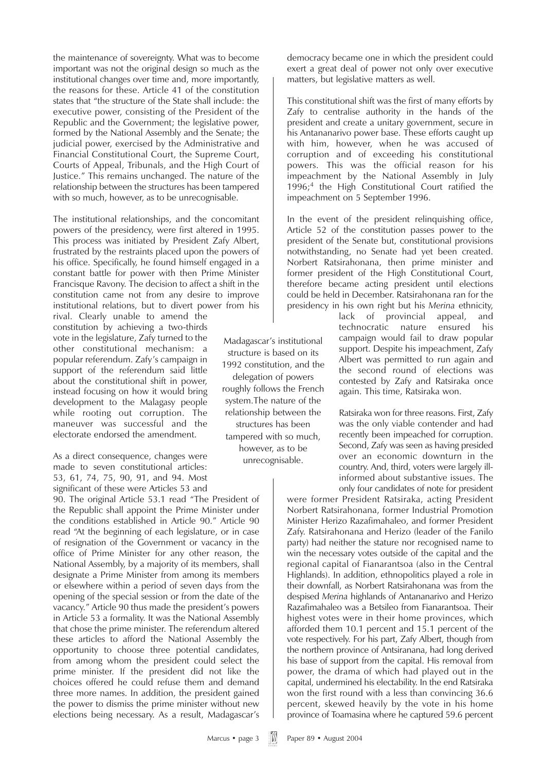the maintenance of sovereignty. What was to become important was not the original design so much as the institutional changes over time and, more importantly, the reasons for these. Article 41 of the constitution states that "the structure of the State shall include: the executive power, consisting of the President of the Republic and the Government; the legislative power, formed by the National Assembly and the Senate; the judicial power, exercised by the Administrative and Financial Constitutional Court, the Supreme Court, Courts of Appeal, Tribunals, and the High Court of Justice." This remains unchanged. The nature of the relationship between the structures has been tampered with so much, however, as to be unrecognisable.

The institutional relationships, and the concomitant powers of the presidency, were first altered in 1995. This process was initiated by President Zafy Albert, frustrated by the restraints placed upon the powers of his office. Specifically, he found himself engaged in a constant battle for power with then Prime Minister Francisque Ravony. The decision to affect a shift in the constitution came not from any desire to improve institutional relations, but to divert power from his

rival. Clearly unable to amend the constitution by achieving a two-thirds vote in the legislature, Zafy turned to the other constitutional mechanism: a popular referendum. Zafy's campaign in support of the referendum said little about the constitutional shift in power, instead focusing on how it would bring development to the Malagasy people while rooting out corruption. The maneuver was successful and the electorate endorsed the amendment.

As a direct consequence, changes were made to seven constitutional articles: 53, 61, 74, 75, 90, 91, and 94. Most significant of these were Articles 53 and

90. The original Article 53.1 read "The President of the Republic shall appoint the Prime Minister under the conditions established in Article 90." Article 90 read "At the beginning of each legislature, or in case of resignation of the Government or vacancy in the office of Prime Minister for any other reason, the National Assembly, by a majority of its members, shall designate a Prime Minister from among its members or elsewhere within a period of seven days from the opening of the special session or from the date of the vacancy." Article 90 thus made the president's powers in Article 53 a formality. It was the National Assembly that chose the prime minister. The referendum altered these articles to afford the National Assembly the opportunity to choose three potential candidates, from among whom the president could select the prime minister. If the president did not like the choices offered he could refuse them and demand three more names. In addition, the president gained the power to dismiss the prime minister without new elections being necessary. As a result, Madagascar's

democracy became one in which the president could exert a great deal of power not only over executive matters, but legislative matters as well.

This constitutional shift was the first of many efforts by Zafy to centralise authority in the hands of the president and create a unitary government, secure in his Antananarivo power base. These efforts caught up with him, however, when he was accused of corruption and of exceeding his constitutional powers. This was the official reason for his impeachment by the National Assembly in July  $1996;4$  the High Constitutional Court ratified the impeachment on 5 September 1996.

In the event of the president relinquishing office, Article 52 of the constitution passes power to the president of the Senate but, constitutional provisions notwithstanding, no Senate had yet been created. Norbert Ratsirahonana, then prime minister and former president of the High Constitutional Court, therefore became acting president until elections could be held in December. Ratsirahonana ran for the presidency in his own right but his *Merina* ethnicity,

lack of provincial appeal, and technocratic nature ensured his campaign would fail to draw popular support. Despite his impeachment, Zafy Albert was permitted to run again and the second round of elections was contested by Zafy and Ratsiraka once again. This time, Ratsiraka won.

Ratsiraka won for three reasons. First, Zafy was the only viable contender and had recently been impeached for corruption. Second, Zafy was seen as having presided over an economic downturn in the country. And, third, voters were largely illinformed about substantive issues. The only four candidates of note for president

were former President Ratsiraka, acting President Norbert Ratsirahonana, former Industrial Promotion Minister Herizo Razafimahaleo, and former President Zafy. Ratsirahonana and Herizo (leader of the Fanilo party) had neither the stature nor recognised name to win the necessary votes outside of the capital and the regional capital of Fianarantsoa (also in the Central Highlands). In addition, ethnopolitics played a role in their downfall, as Norbert Ratsirahonana was from the despised *Merina* highlands of Antananarivo and Herizo Razafimahaleo was a Betsileo from Fianarantsoa. Their highest votes were in their home provinces, which afforded them 10.1 percent and 15.1 percent of the vote respectively. For his part, Zafy Albert, though from the northern province of Antsiranana, had long derived his base of support from the capital. His removal from power, the drama of which had played out in the capital, undermined his electability. In the end Ratsiraka won the first round with a less than convincing 36.6 percent, skewed heavily by the vote in his home province of Toamasina where he captured 59.6 percent

Madagascar's institutional structure is based on its 1992 constitution, and the delegation of powers roughly follows the French system.The nature of the relationship between the structures has been tampered with so much, however, as to be unrecognisable.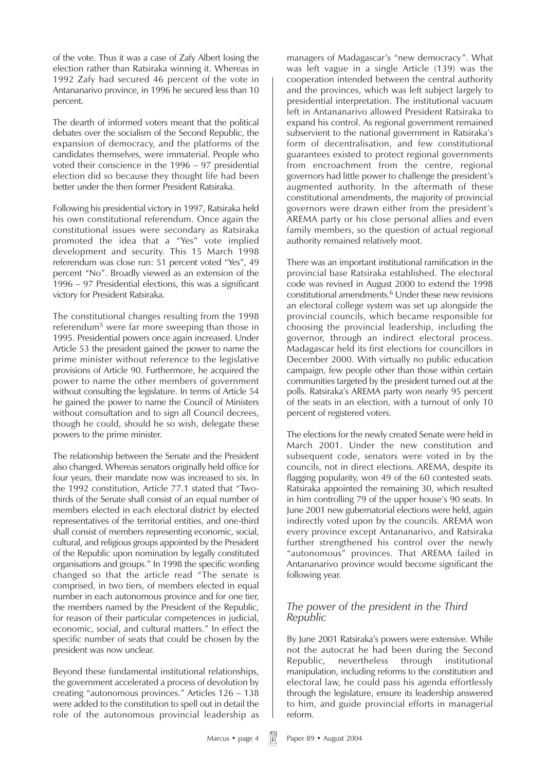of the vote. Thus it was a case of Zafy Albert losing the election rather than Ratsiraka winning it. Whereas in 1992 Zafy had secured 46 percent of the vote in Antananarivo province, in 1996 he secured less than 10 percent.

The dearth of informed voters meant that the political debates over the socialism of the Second Republic, the expansion of democracy, and the platforms of the candidates themselves, were immaterial. People who voted their conscience in the 1996 – 97 presidential election did so because they thought life had been better under the then former President Ratsiraka.

Following his presidential victory in 1997, Ratsiraka held his own constitutional referendum. Once again the constitutional issues were secondary as Ratsiraka promoted the idea that a "Yes" vote implied development and security. This 15 March 1998 referendum was close run: 51 percent voted "Yes", 49 percent "No". Broadly viewed as an extension of the 1996 – 97 Presidential elections, this was a significant victory for President Ratsiraka.

The constitutional changes resulting from the 1998 referendum<sup>5</sup> were far more sweeping than those in 1995. Presidential powers once again increased. Under Article 53 the president gained the power to name the prime minister without reference to the legislative provisions of Article 90. Furthermore, he acquired the power to name the other members of government without consulting the legislature. In terms of Article 54 he gained the power to name the Council of Ministers without consultation and to sign all Council decrees, though he could, should he so wish, delegate these powers to the prime minister.

The relationship between the Senate and the President also changed. Whereas senators originally held office for four years, their mandate now was increased to six. In the 1992 constitution, Article 77.1 stated that "Twothirds of the Senate shall consist of an equal number of members elected in each electoral district by elected representatives of the territorial entities, and one-third shall consist of members representing economic, social, cultural, and religious groups appointed by the President of the Republic upon nomination by legally constituted organisations and groups." In 1998 the specific wording changed so that the article read "The senate is comprised, in two tiers, of members elected in equal number in each autonomous province and for one tier, the members named by the President of the Republic, for reason of their particular competences in judicial, economic, social, and cultural matters." In effect the specific number of seats that could be chosen by the president was now unclear.

Beyond these fundamental institutional relationships, the government accelerated a process of devolution by creating "autonomous provinces." Articles 126 – 138 were added to the constitution to spell out in detail the role of the autonomous provincial leadership as

managers of Madagascar's "new democracy". What was left vague in a single Article (139) was the cooperation intended between the central authority and the provinces, which was left subject largely to presidential interpretation. The institutional vacuum left in Antananarivo allowed President Ratsiraka to expand his control. As regional government remained subservient to the national government in Ratsiraka's form of decentralisation, and few constitutional guarantees existed to protect regional governments from encroachment from the centre, regional governors had little power to challenge the president's augmented authority. In the aftermath of these constitutional amendments, the majority of provincial governors were drawn either from the president's AREMA party or his close personal allies and even family members, so the question of actual regional authority remained relatively moot.

There was an important institutional ramification in the provincial base Ratsiraka established. The electoral code was revised in August 2000 to extend the 1998 constitutional amendments.6 Under these new revisions an electoral college system was set up alongside the provincial councils, which became responsible for choosing the provincial leadership, including the governor, through an indirect electoral process. Madagascar held its first elections for councillors in December 2000. With virtually no public education campaign, few people other than those within certain communities targeted by the president turned out at the polls. Ratsiraka's AREMA party won nearly 95 percent of the seats in an election, with a turnout of only 10 percent of registered voters.

The elections for the newly created Senate were held in March 2001. Under the new constitution and subsequent code, senators were voted in by the councils, not in direct elections. AREMA, despite its flagging popularity, won 49 of the 60 contested seats. Ratsiraka appointed the remaining 30, which resulted in him controlling 79 of the upper house's 90 seats. In June 2001 new gubernatorial elections were held, again indirectly voted upon by the councils. AREMA won every province except Antananarivo, and Ratsiraka further strengthened his control over the newly "autonomous" provinces. That AREMA failed in Antananarivo province would become significant the following year.

### *The power of the president in the Third Republic*

By June 2001 Ratsiraka's powers were extensive. While not the autocrat he had been during the Second Republic, nevertheless through institutional manipulation, including reforms to the constitution and electoral law, he could pass his agenda effortlessly through the legislature, ensure its leadership answered to him, and guide provincial efforts in managerial reform.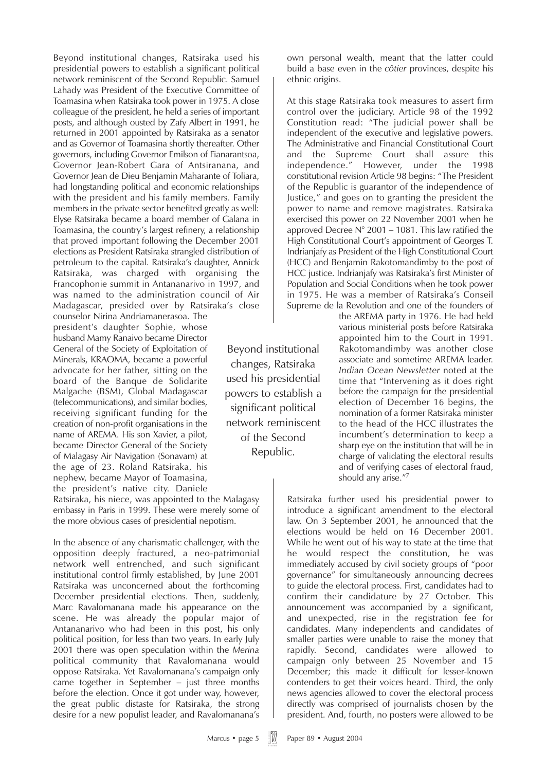Beyond institutional changes, Ratsiraka used his presidential powers to establish a significant political network reminiscent of the Second Republic. Samuel Lahady was President of the Executive Committee of Toamasina when Ratsiraka took power in 1975. A close colleague of the president, he held a series of important posts, and although ousted by Zafy Albert in 1991, he returned in 2001 appointed by Ratsiraka as a senator and as Governor of Toamasina shortly thereafter. Other governors, including Governor Emilson of Fianarantsoa, Governor Jean-Robert Gara of Antsiranana, and Governor Jean de Dieu Benjamin Maharante of Toliara, had longstanding political and economic relationships with the president and his family members. Family members in the private sector benefited greatly as well: Elyse Ratsiraka became a board member of Galana in Toamasina, the country's largest refinery, a relationship that proved important following the December 2001 elections as President Ratsiraka strangled distribution of petroleum to the capital. Ratsiraka's daughter, Annick Ratsiraka, was charged with organising the Francophonie summit in Antananarivo in 1997, and was named to the administration council of Air Madagascar, presided over by Ratsiraka's close

counselor Nirina Andriamanerasoa. The president's daughter Sophie, whose husband Mamy Ranaivo became Director General of the Society of Exploitation of Minerals, KRAOMA, became a powerful advocate for her father, sitting on the board of the Banque de Solidarite Malgache (BSM), Global Madagascar (telecommunications), and similar bodies, receiving significant funding for the creation of non-profit organisations in the name of AREMA. His son Xavier, a pilot, became Director General of the Society of Malagasy Air Navigation (Sonavam) at the age of 23. Roland Ratsiraka, his nephew, became Mayor of Toamasina, the president's native city. Daniele

Ratsiraka, his niece, was appointed to the Malagasy embassy in Paris in 1999. These were merely some of the more obvious cases of presidential nepotism.

In the absence of any charismatic challenger, with the opposition deeply fractured, a neo-patrimonial network well entrenched, and such significant institutional control firmly established, by June 2001 Ratsiraka was unconcerned about the forthcoming December presidential elections. Then, suddenly, Marc Ravalomanana made his appearance on the scene. He was already the popular major of Antananarivo who had been in this post, his only political position, for less than two years. In early July 2001 there was open speculation within the *Merina* political community that Ravalomanana would oppose Ratsiraka. Yet Ravalomanana's campaign only came together in September – just three months before the election. Once it got under way, however, the great public distaste for Ratsiraka, the strong desire for a new populist leader, and Ravalomanana's

Beyond institutional changes, Ratsiraka used his presidential powers to establish a significant political network reminiscent of the Second Republic.

own personal wealth, meant that the latter could build a base even in the *côtier* provinces, despite his ethnic origins.

At this stage Ratsiraka took measures to assert firm control over the judiciary. Article 98 of the 1992 Constitution read: "The judicial power shall be independent of the executive and legislative powers. The Administrative and Financial Constitutional Court and the Supreme Court shall assure this independence." However, under the 1998 constitutional revision Article 98 begins: "The President of the Republic is guarantor of the independence of Justice," and goes on to granting the president the power to name and remove magistrates. Ratsiraka exercised this power on 22 November 2001 when he approved Decree N° 2001 – 1081. This law ratified the High Constitutional Court's appointment of Georges T. Indrianjafy as President of the High Constitutional Court (HCC) and Benjamin Rakotomandimby to the post of HCC justice. Indrianjafy was Ratsiraka's first Minister of Population and Social Conditions when he took power in 1975. He was a member of Ratsiraka's Conseil Supreme de la Revolution and one of the founders of

> the AREMA party in 1976. He had held various ministerial posts before Ratsiraka appointed him to the Court in 1991. Rakotomandimby was another close associate and sometime AREMA leader. *Indian Ocean Newsletter* noted at the time that "Intervening as it does right before the campaign for the presidential election of December 16 begins, the nomination of a former Ratsiraka minister to the head of the HCC illustrates the incumbent's determination to keep a sharp eye on the institution that will be in charge of validating the electoral results and of verifying cases of electoral fraud, should any arise."7

Ratsiraka further used his presidential power to introduce a significant amendment to the electoral law. On 3 September 2001, he announced that the elections would be held on 16 December 2001. While he went out of his way to state at the time that he would respect the constitution, he was immediately accused by civil society groups of "poor governance" for simultaneously announcing decrees to guide the electoral process. First, candidates had to confirm their candidature by 27 October. This announcement was accompanied by a significant, and unexpected, rise in the registration fee for candidates. Many independents and candidates of smaller parties were unable to raise the money that rapidly. Second, candidates were allowed to campaign only between 25 November and 15 December; this made it difficult for lesser-known contenders to get their voices heard. Third, the only news agencies allowed to cover the electoral process directly was comprised of journalists chosen by the president. And, fourth, no posters were allowed to be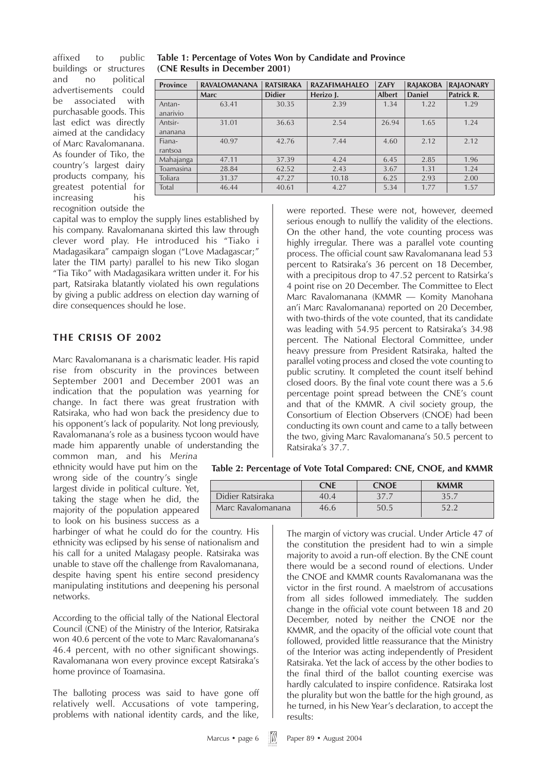affixed to public buildings or structures and no political advertisements could be associated with purchasable goods. This last edict was directly aimed at the candidacy of Marc Ravalomanana. As founder of Tiko, the country's largest dairy products company, his greatest potential for increasing his recognition outside the

| Table 1: Percentage of Votes Won by Candidate and Province |  |  |
|------------------------------------------------------------|--|--|
| (CNE Results in December 2001)                             |  |  |

| <b>Province</b> | <b>RAVALOMANANA</b> | <b>RATSIRAKA</b> | <b>RAZAFIMAHALEO</b> | <b>ZAFY</b>   | <b>RAJAKOBA</b> | <b>RAJAONARY</b> |
|-----------------|---------------------|------------------|----------------------|---------------|-----------------|------------------|
|                 | <b>Marc</b>         | <b>Didier</b>    | Herizo J.            | <b>Albert</b> | <b>Daniel</b>   | Patrick R.       |
| Antan-          | 63.41               | 30.35            | 2.39                 | 1.34          | 1.22            | 1.29             |
| anarivio        |                     |                  |                      |               |                 |                  |
| Antsir-         | 31.01               | 36.63            | 2.54                 | 26.94         | 1.65            | 1.24             |
| ananana         |                     |                  |                      |               |                 |                  |
| Fiana-          | 40.97               | 42.76            | 7.44                 | 4.60          | 2.12            | 2.12             |
| rantsoa         |                     |                  |                      |               |                 |                  |
| Mahajanga       | 47.11               | 37.39            | 4.24                 | 6.45          | 2.85            | 1.96             |
| Toamasina       | 28.84               | 62.52            | 2.43                 | 3.67          | 1.31            | 1.24             |
| Toliara         | 31.37               | 47.27            | 10.18                | 6.25          | 2.93            | 2.00             |
| Total           | 46.44               | 40.61            | 4.27                 | 5.34          | 1.77            | 1.57             |

capital was to employ the supply lines established by his company. Ravalomanana skirted this law through clever word play. He introduced his "Tiako i Madagasikara" campaign slogan ("Love Madagascar;" later the TIM party) parallel to his new Tiko slogan "Tia Tiko" with Madagasikara written under it. For his part, Ratsiraka blatantly violated his own regulations by giving a public address on election day warning of dire consequences should he lose.

#### **THE CRISIS OF 2002**

Marc Ravalomanana is a charismatic leader. His rapid rise from obscurity in the provinces between September 2001 and December 2001 was an indication that the population was yearning for change. In fact there was great frustration with Ratsiraka, who had won back the presidency due to his opponent's lack of popularity. Not long previously, Ravalomanana's role as a business tycoon would have made him apparently unable of understanding the common man, and his *Merina*

ethnicity would have put him on the wrong side of the country's single largest divide in political culture. Yet, taking the stage when he did, the majority of the population appeared to look on his business success as a

harbinger of what he could do for the country. His ethnicity was eclipsed by his sense of nationalism and his call for a united Malagasy people. Ratsiraka was unable to stave off the challenge from Ravalomanana, despite having spent his entire second presidency manipulating institutions and deepening his personal networks.

According to the official tally of the National Electoral Council (CNE) of the Ministry of the Interior, Ratsiraka won 40.6 percent of the vote to Marc Ravalomanana's 46.4 percent, with no other significant showings. Ravalomanana won every province except Ratsiraka's home province of Toamasina.

The balloting process was said to have gone off relatively well. Accusations of vote tampering, problems with national identity cards, and the like,

were reported. These were not, however, deemed serious enough to nullify the validity of the elections. On the other hand, the vote counting process was highly irregular. There was a parallel vote counting process. The official count saw Ravalomanana lead 53 percent to Ratsiraka's 36 percent on 18 December, with a precipitous drop to 47.52 percent to Ratsirka's 4 point rise on 20 December. The Committee to Elect Marc Ravalomanana (KMMR — Komity Manohana an'i Marc Ravalomanana) reported on 20 December, with two-thirds of the vote counted, that its candidate was leading with 54.95 percent to Ratsiraka's 34.98 percent. The National Electoral Committee, under heavy pressure from President Ratsiraka, halted the parallel voting process and closed the vote counting to public scrutiny. It completed the count itself behind closed doors. By the final vote count there was a 5.6 percentage point spread between the CNE's count and that of the KMMR. A civil society group, the Consortium of Election Observers (CNOE) had been conducting its own count and came to a tally between the two, giving Marc Ravalomanana's 50.5 percent to Ratsiraka's 37.7.

**Table 2: Percentage of Vote Total Compared: CNE, CNOE, and KMMR**

|                   | CNF  | <b>CNOE</b> | <b>KMMR</b> |
|-------------------|------|-------------|-------------|
| Didier Ratsiraka  | 404  | 377         | 35.7        |
| Marc Ravalomanana | 46.6 | 50.5        | 52.2        |

The margin of victory was crucial. Under Article 47 of the constitution the president had to win a simple majority to avoid a run-off election. By the CNE count there would be a second round of elections. Under the CNOE and KMMR counts Ravalomanana was the victor in the first round. A maelstrom of accusations from all sides followed immediately. The sudden change in the official vote count between 18 and 20 December, noted by neither the CNOE nor the KMMR, and the opacity of the official vote count that followed, provided little reassurance that the Ministry of the Interior was acting independently of President Ratsiraka. Yet the lack of access by the other bodies to the final third of the ballot counting exercise was hardly calculated to inspire confidence. Ratsiraka lost the plurality but won the battle for the high ground, as he turned, in his New Year's declaration, to accept the results: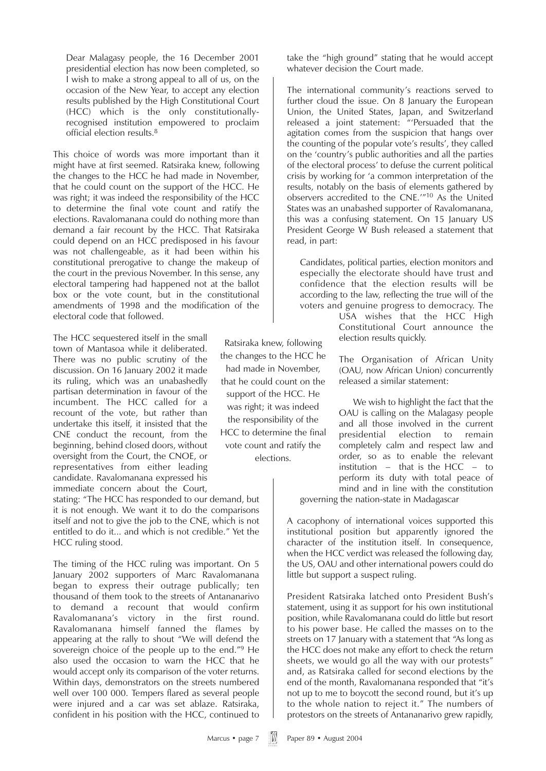Dear Malagasy people, the 16 December 2001 presidential election has now been completed, so I wish to make a strong appeal to all of us, on the occasion of the New Year, to accept any election results published by the High Constitutional Court (HCC) which is the only constitutionallyrecognised institution empowered to proclaim official election results.8

This choice of words was more important than it might have at first seemed. Ratsiraka knew, following the changes to the HCC he had made in November, that he could count on the support of the HCC. He was right; it was indeed the responsibility of the HCC to determine the final vote count and ratify the elections. Ravalomanana could do nothing more than demand a fair recount by the HCC. That Ratsiraka could depend on an HCC predisposed in his favour was not challengeable, as it had been within his constitutional prerogative to change the makeup of the court in the previous November. In this sense, any electoral tampering had happened not at the ballot box or the vote count, but in the constitutional amendments of 1998 and the modification of the electoral code that followed.

The HCC sequestered itself in the small town of Mantasoa while it deliberated. There was no public scrutiny of the discussion. On 16 January 2002 it made its ruling, which was an unabashedly partisan determination in favour of the incumbent. The HCC called for a recount of the vote, but rather than undertake this itself, it insisted that the CNE conduct the recount, from the beginning, behind closed doors, without oversight from the Court, the CNOE, or representatives from either leading candidate. Ravalomanana expressed his immediate concern about the Court,

stating: "The HCC has responded to our demand, but it is not enough. We want it to do the comparisons itself and not to give the job to the CNE, which is not entitled to do it... and which is not credible." Yet the HCC ruling stood.

The timing of the HCC ruling was important. On 5 January 2002 supporters of Marc Ravalomanana began to express their outrage publically; ten thousand of them took to the streets of Antananarivo to demand a recount that would confirm Ravalomanana's victory in the first round. Ravalomanana himself fanned the flames by appearing at the rally to shout "We will defend the sovereign choice of the people up to the end."<sup>9</sup> He also used the occasion to warn the HCC that he would accept only its comparison of the voter returns. Within days, demonstrators on the streets numbered well over 100 000. Tempers flared as several people were injured and a car was set ablaze. Ratsiraka, confident in his position with the HCC, continued to

Ratsiraka knew, following the changes to the HCC he had made in November, that he could count on the support of the HCC. He was right; it was indeed the responsibility of the HCC to determine the final vote count and ratify the elections.

take the "high ground" stating that he would accept whatever decision the Court made.

The international community's reactions served to further cloud the issue. On 8 January the European Union, the United States, Japan, and Switzerland released a joint statement: "'Persuaded that the agitation comes from the suspicion that hangs over the counting of the popular vote's results', they called on the 'country's public authorities and all the parties of the electoral process' to defuse the current political crisis by working for 'a common interpretation of the results, notably on the basis of elements gathered by observers accredited to the CNE.'"10 As the United States was an unabashed supporter of Ravalomanana, this was a confusing statement. On 15 January US President George W Bush released a statement that read, in part:

Candidates, political parties, election monitors and especially the electorate should have trust and confidence that the election results will be according to the law, reflecting the true will of the voters and genuine progress to democracy. The

> USA wishes that the HCC High Constitutional Court announce the election results quickly.

> The Organisation of African Unity (OAU, now African Union) concurrently released a similar statement:

> We wish to highlight the fact that the OAU is calling on the Malagasy people and all those involved in the current presidential election to remain completely calm and respect law and order, so as to enable the relevant institution – that is the HCC – to perform its duty with total peace of mind and in line with the constitution

governing the nation-state in Madagascar

A cacophony of international voices supported this institutional position but apparently ignored the character of the institution itself. In consequence, when the HCC verdict was released the following day, the US, OAU and other international powers could do little but support a suspect ruling.

President Ratsiraka latched onto President Bush's statement, using it as support for his own institutional position, while Ravalomanana could do little but resort to his power base. He called the masses on to the streets on 17 January with a statement that "As long as the HCC does not make any effort to check the return sheets, we would go all the way with our protests" and, as Ratsiraka called for second elections by the end of the month, Ravalomanana responded that "it's not up to me to boycott the second round, but it's up to the whole nation to reject it." The numbers of protestors on the streets of Antananarivo grew rapidly,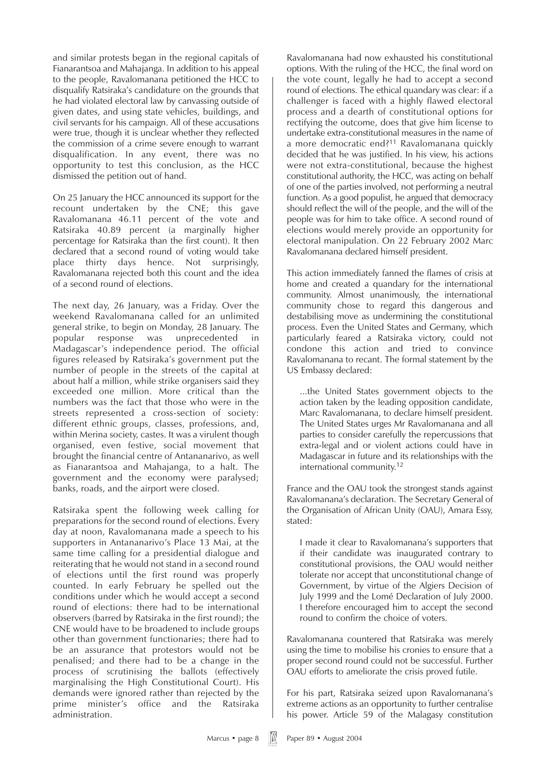and similar protests began in the regional capitals of Fianarantsoa and Mahajanga. In addition to his appeal to the people, Ravalomanana petitioned the HCC to disqualify Ratsiraka's candidature on the grounds that he had violated electoral law by canvassing outside of given dates, and using state vehicles, buildings, and civil servants for his campaign. All of these accusations were true, though it is unclear whether they reflected the commission of a crime severe enough to warrant disqualification. In any event, there was no opportunity to test this conclusion, as the HCC dismissed the petition out of hand.

On 25 January the HCC announced its support for the recount undertaken by the CNE; this gave Ravalomanana 46.11 percent of the vote and Ratsiraka 40.89 percent (a marginally higher percentage for Ratsiraka than the first count). It then declared that a second round of voting would take place thirty days hence. Not surprisingly, Ravalomanana rejected both this count and the idea of a second round of elections.

The next day, 26 January, was a Friday. Over the weekend Ravalomanana called for an unlimited general strike, to begin on Monday, 28 January. The popular response was unprecedented in Madagascar's independence period. The official figures released by Ratsiraka's government put the number of people in the streets of the capital at about half a million, while strike organisers said they exceeded one million. More critical than the numbers was the fact that those who were in the streets represented a cross-section of society: different ethnic groups, classes, professions, and, within Merina society, castes. It was a virulent though organised, even festive, social movement that brought the financial centre of Antananarivo, as well as Fianarantsoa and Mahajanga, to a halt. The government and the economy were paralysed; banks, roads, and the airport were closed.

Ratsiraka spent the following week calling for preparations for the second round of elections. Every day at noon, Ravalomanana made a speech to his supporters in Antananarivo's Place 13 Mai, at the same time calling for a presidential dialogue and reiterating that he would not stand in a second round of elections until the first round was properly counted. In early February he spelled out the conditions under which he would accept a second round of elections: there had to be international observers (barred by Ratsiraka in the first round); the CNE would have to be broadened to include groups other than government functionaries; there had to be an assurance that protestors would not be penalised; and there had to be a change in the process of scrutinising the ballots (effectively marginalising the High Constitutional Court). His demands were ignored rather than rejected by the prime minister's office and the Ratsiraka administration.

Ravalomanana had now exhausted his constitutional options. With the ruling of the HCC, the final word on the vote count, legally he had to accept a second round of elections. The ethical quandary was clear: if a challenger is faced with a highly flawed electoral process and a dearth of constitutional options for rectifying the outcome, does that give him license to undertake extra-constitutional measures in the name of a more democratic end?<sup>11</sup> Ravalomanana quickly decided that he was justified. In his view, his actions were not extra-constitutional, because the highest constitutional authority, the HCC, was acting on behalf of one of the parties involved, not performing a neutral function. As a good populist, he argued that democracy should reflect the will of the people, and the will of the people was for him to take office. A second round of elections would merely provide an opportunity for electoral manipulation. On 22 February 2002 Marc Ravalomanana declared himself president.

This action immediately fanned the flames of crisis at home and created a quandary for the international community. Almost unanimously, the international community chose to regard this dangerous and destabilising move as undermining the constitutional process. Even the United States and Germany, which particularly feared a Ratsiraka victory, could not condone this action and tried to convince Ravalomanana to recant. The formal statement by the US Embassy declared:

...the United States government objects to the action taken by the leading opposition candidate, Marc Ravalomanana, to declare himself president. The United States urges Mr Ravalomanana and all parties to consider carefully the repercussions that extra-legal and or violent actions could have in Madagascar in future and its relationships with the international community.12

France and the OAU took the strongest stands against Ravalomanana's declaration. The Secretary General of the Organisation of African Unity (OAU), Amara Essy, stated:

I made it clear to Ravalomanana's supporters that if their candidate was inaugurated contrary to constitutional provisions, the OAU would neither tolerate nor accept that unconstitutional change of Government, by virtue of the Algiers Decision of July 1999 and the Lomé Declaration of July 2000. I therefore encouraged him to accept the second round to confirm the choice of voters.

Ravalomanana countered that Ratsiraka was merely using the time to mobilise his cronies to ensure that a proper second round could not be successful. Further OAU efforts to ameliorate the crisis proved futile.

For his part, Ratsiraka seized upon Ravalomanana's extreme actions as an opportunity to further centralise his power. Article 59 of the Malagasy constitution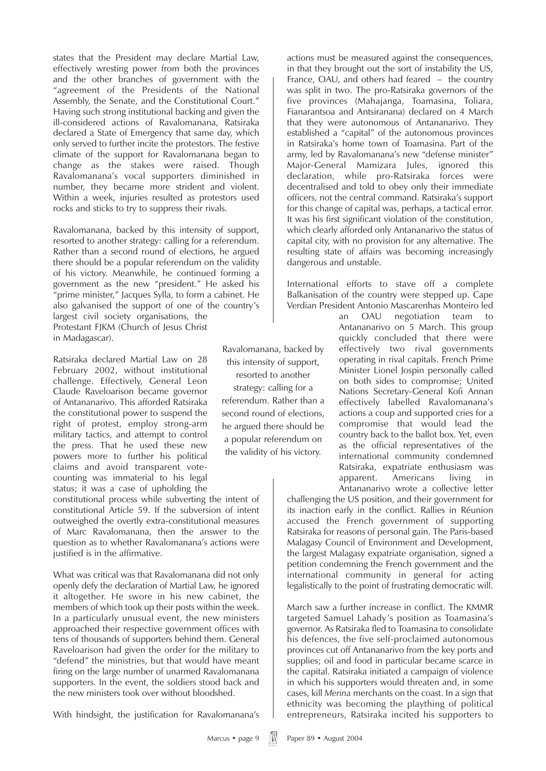states that the President may declare Martial Law, effectively wresting power from both the provinces and the other branches of government with the "agreement of the Presidents of the National Assembly, the Senate, and the Constitutional Court." Having such strong institutional backing and given the ill-considered actions of Ravalomanana, Ratsiraka declared a State of Emergency that same day, which only served to further incite the protestors. The festive climate of the support for Ravalomanana began to change as the stakes were raised. Though Ravalomanana's vocal supporters diminished in number, they became more strident and violent. Within a week, injuries resulted as protestors used rocks and sticks to try to suppress their rivals.

Ravalomanana, backed by this intensity of support, resorted to another strategy: calling for a referendum. Rather than a second round of elections, he argued there should be a popular referendum on the validity of his victory. Meanwhile, he continued forming a government as the new "president." He asked his "prime minister," Jacques Sylla, to form a cabinet. He also galvanised the support of one of the country's largest civil society organisations, the Protestant FJKM (Church of Jesus Christ in Madagascar).

Ratsiraka declared Martial Law on 28 February 2002, without institutional challenge. Effectively, General Leon Claude Raveloarison became governor of Antananarivo. This afforded Ratsiraka the constitutional power to suspend the right of protest, employ strong-arm military tactics, and attempt to control the press. That he used these new powers more to further his political claims and avoid transparent votecounting was immaterial to his legal status; it was a case of upholding the

constitutional process while subverting the intent of constitutional Article 59. If the subversion of intent outweighed the overtly extra-constitutional measures of Marc Ravalomanana, then the answer to the question as to whether Ravalomanana's actions were justified is in the affirmative.

What was critical was that Ravalomanana did not only openly defy the declaration of Martial Law, he ignored it altogether. He swore in his new cabinet, the members of which took up their posts within the week. In a particularly unusual event, the new ministers approached their respective government offices with tens of thousands of supporters behind them. General Raveloarison had given the order for the military to "defend" the ministries, but that would have meant firing on the large number of unarmed Ravalomanana supporters. In the event, the soldiers stood back and the new ministers took over without bloodshed.

With hindsight, the justification for Ravalomanana's

Ravalomanana, backed by this intensity of support, resorted to another strategy: calling for a referendum. Rather than a second round of elections, he argued there should be a popular referendum on the validity of his victory.

actions must be measured against the consequences, in that they brought out the sort of instability the US, France, OAU, and others had feared – the country was split in two. The pro-Ratsiraka governors of the five provinces (Mahajanga, Toamasina, Toliara, Fianarantsoa and Antsiranana) declared on 4 March that they were autonomous of Antananarivo. They established a "capital" of the autonomous provinces in Ratsiraka's home town of Toamasina. Part of the army, led by Ravalomanana's new "defense minister" Major-General Mamizara Jules, ignored this declaration, while pro-Ratsiraka forces were decentralised and told to obey only their immediate officers, not the central command. Ratsiraka's support for this change of capital was, perhaps, a tactical error. It was his first significant violation of the constitution, which clearly afforded only Antananarivo the status of capital city, with no provision for any alternative. The resulting state of affairs was becoming increasingly dangerous and unstable.

International efforts to stave off a complete Balkanisation of the country were stepped up. Cape Verdian President Antonio Mascarenhas Monteiro led

> an OAU negotiation team to Antananarivo on 5 March. This group quickly concluded that there were effectively two rival governments operating in rival capitals. French Prime Minister Lionel Jospin personally called on both sides to compromise; United Nations Secretary-General Kofi Annan effectively labelled Ravalomanana's actions a coup and supported cries for a compromise that would lead the country back to the ballot box. Yet, even as the official representatives of the international community condemned Ratsiraka, expatriate enthusiasm was apparent. Americans living in Antananarivo wrote a collective letter

challenging the US position, and their government for its inaction early in the conflict. Rallies in Réunion accused the French government of supporting Ratsiraka for reasons of personal gain. The Paris-based Malagasy Council of Environment and Development, the largest Malagasy expatriate organisation, signed a petition condemning the French government and the international community in general for acting legalistically to the point of frustrating democratic will.

March saw a further increase in conflict. The KMMR targeted Samuel Lahady's position as Toamasina's governor. As Ratsiraka fled to Toamasina to consolidate his defences, the five self-proclaimed autonomous provinces cut off Antananarivo from the key ports and supplies; oil and food in particular became scarce in the capital. Ratsiraka initiated a campaign of violence in which his supporters would threaten and, in some cases, kill *Merina* merchants on the coast. In a sign that ethnicity was becoming the plaything of political entrepreneurs, Ratsiraka incited his supporters to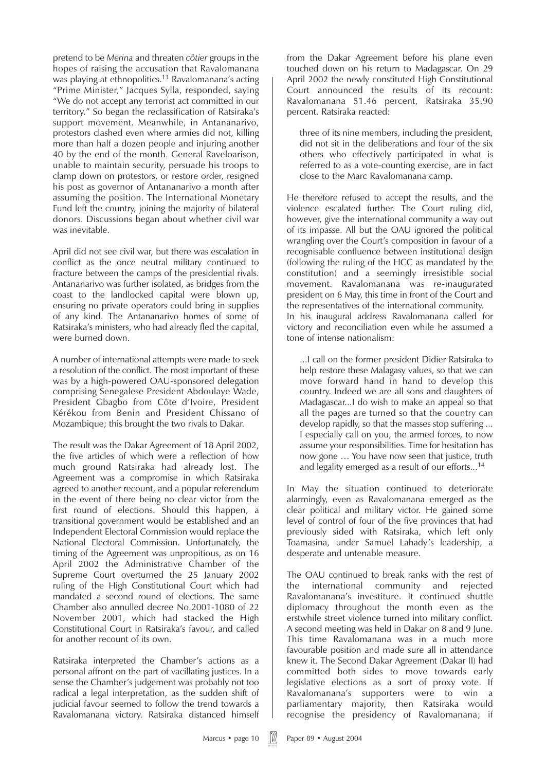pretend to be *Merina* and threaten *côtier* groups in the hopes of raising the accusation that Ravalomanana was playing at ethnopolitics.<sup>13</sup> Ravalomanana's acting "Prime Minister," Jacques Sylla, responded, saying "We do not accept any terrorist act committed in our territory." So began the reclassification of Ratsiraka's support movement. Meanwhile, in Antananarivo, protestors clashed even where armies did not, killing more than half a dozen people and injuring another 40 by the end of the month. General Raveloarison, unable to maintain security, persuade his troops to clamp down on protestors, or restore order, resigned his post as governor of Antananarivo a month after assuming the position. The International Monetary Fund left the country, joining the majority of bilateral donors. Discussions began about whether civil war was inevitable.

April did not see civil war, but there was escalation in conflict as the once neutral military continued to fracture between the camps of the presidential rivals. Antananarivo was further isolated, as bridges from the coast to the landlocked capital were blown up, ensuring no private operators could bring in supplies of any kind. The Antananarivo homes of some of Ratsiraka's ministers, who had already fled the capital, were burned down.

A number of international attempts were made to seek a resolution of the conflict. The most important of these was by a high-powered OAU-sponsored delegation comprising Senegalese President Abdoulaye Wade, President Gbagbo from Côte d'Ivoire, President Kérékou from Benin and President Chissano of Mozambique; this brought the two rivals to Dakar.

The result was the Dakar Agreement of 18 April 2002, the five articles of which were a reflection of how much ground Ratsiraka had already lost. The Agreement was a compromise in which Ratsiraka agreed to another recount, and a popular referendum in the event of there being no clear victor from the first round of elections. Should this happen, a transitional government would be established and an Independent Electoral Commission would replace the National Electoral Commission. Unfortunately, the timing of the Agreement was unpropitious, as on 16 April 2002 the Administrative Chamber of the Supreme Court overturned the 25 January 2002 ruling of the High Constitutional Court which had mandated a second round of elections. The same Chamber also annulled decree No.2001-1080 of 22 November 2001, which had stacked the High Constitutional Court in Ratsiraka's favour, and called for another recount of its own.

Ratsiraka interpreted the Chamber's actions as a personal affront on the part of vacillating justices. In a sense the Chamber's judgement was probably not too radical a legal interpretation, as the sudden shift of judicial favour seemed to follow the trend towards a Ravalomanana victory. Ratsiraka distanced himself

from the Dakar Agreement before his plane even touched down on his return to Madagascar. On 29 April 2002 the newly constituted High Constitutional Court announced the results of its recount: Ravalomanana 51.46 percent, Ratsiraka 35.90 percent. Ratsiraka reacted:

three of its nine members, including the president, did not sit in the deliberations and four of the six others who effectively participated in what is referred to as a vote-counting exercise, are in fact close to the Marc Ravalomanana camp.

He therefore refused to accept the results, and the violence escalated further. The Court ruling did, however, give the international community a way out of its impasse. All but the OAU ignored the political wrangling over the Court's composition in favour of a recognisable confluence between institutional design (following the ruling of the HCC as mandated by the constitution) and a seemingly irresistible social movement. Ravalomanana was re-inaugurated president on 6 May, this time in front of the Court and the representatives of the international community. In his inaugural address Ravalomanana called for victory and reconciliation even while he assumed a tone of intense nationalism:

...I call on the former president Didier Ratsiraka to help restore these Malagasy values, so that we can move forward hand in hand to develop this country. Indeed we are all sons and daughters of Madagascar...I do wish to make an appeal so that all the pages are turned so that the country can develop rapidly, so that the masses stop suffering ... I especially call on you, the armed forces, to now assume your responsibilities. Time for hesitation has now gone … You have now seen that justice, truth and legality emerged as a result of our efforts...<sup>14</sup>

In May the situation continued to deteriorate alarmingly, even as Ravalomanana emerged as the clear political and military victor. He gained some level of control of four of the five provinces that had previously sided with Ratsiraka, which left only Toamasina, under Samuel Lahady's leadership, a desperate and untenable measure.

The OAU continued to break ranks with the rest of the international community and rejected Ravalomanana's investiture. It continued shuttle diplomacy throughout the month even as the erstwhile street violence turned into military conflict. A second meeting was held in Dakar on 8 and 9 June. This time Ravalomanana was in a much more favourable position and made sure all in attendance knew it. The Second Dakar Agreement (Dakar II) had committed both sides to move towards early legislative elections as a sort of proxy vote. If Ravalomanana's supporters were to win a parliamentary majority, then Ratsiraka would recognise the presidency of Ravalomanana; if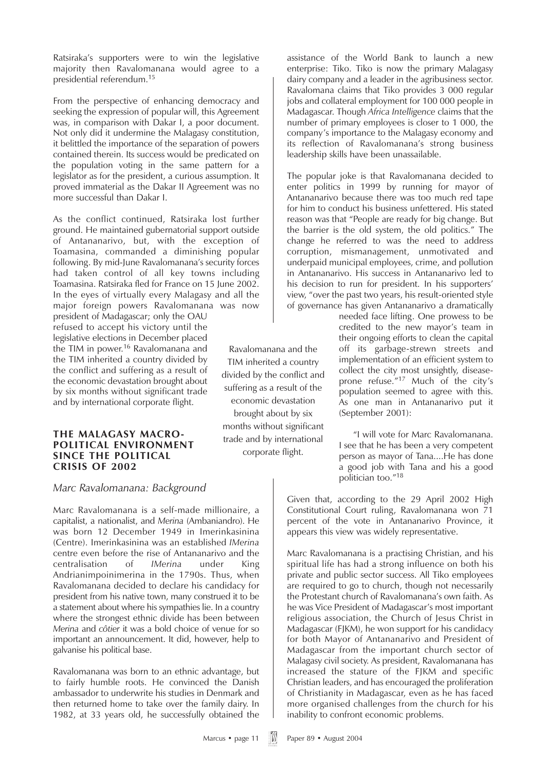Ratsiraka's supporters were to win the legislative majority then Ravalomanana would agree to a presidential referendum.15

From the perspective of enhancing democracy and seeking the expression of popular will, this Agreement was, in comparison with Dakar I, a poor document. Not only did it undermine the Malagasy constitution, it belittled the importance of the separation of powers contained therein. Its success would be predicated on the population voting in the same pattern for a legislator as for the president, a curious assumption. It proved immaterial as the Dakar II Agreement was no more successful than Dakar I.

As the conflict continued, Ratsiraka lost further ground. He maintained gubernatorial support outside of Antananarivo, but, with the exception of Toamasina, commanded a diminishing popular following. By mid-June Ravalomanana's security forces had taken control of all key towns including Toamasina. Ratsiraka fled for France on 15 June 2002. In the eyes of virtually every Malagasy and all the major foreign powers Ravalomanana was now

president of Madagascar; only the OAU refused to accept his victory until the legislative elections in December placed the TIM in power.<sup>16</sup> Ravalomanana and the TIM inherited a country divided by the conflict and suffering as a result of the economic devastation brought about by six months without significant trade and by international corporate flight.

#### **THE MALAGASY MACRO-POLITICAL ENVIRONMENT SINCE THE POLITICAL CRISIS OF 2002**

#### *Marc Ravalomanana: Background*

Marc Ravalomanana is a self-made millionaire, a capitalist, a nationalist, and *Merina* (Ambaniandro). He was born 12 December 1949 in Imerinkasinina (Centre). Imerinkasinina was an established *IMerina* centre even before the rise of Antananarivo and the centralisation of *IMerina* under King Andrianimpoinimerina in the 1790s. Thus, when Ravalomanana decided to declare his candidacy for president from his native town, many construed it to be a statement about where his sympathies lie. In a country where the strongest ethnic divide has been between *Merina* and *côtier* it was a bold choice of venue for so important an announcement. It did, however, help to galvanise his political base.

Ravalomanana was born to an ethnic advantage, but to fairly humble roots. He convinced the Danish ambassador to underwrite his studies in Denmark and then returned home to take over the family dairy. In 1982, at 33 years old, he successfully obtained the

assistance of the World Bank to launch a new enterprise: Tiko. Tiko is now the primary Malagasy dairy company and a leader in the agribusiness sector. Ravalomana claims that Tiko provides 3 000 regular jobs and collateral employment for 100 000 people in Madagascar. Though *Africa Intelligence* claims that the number of primary employees is closer to 1 000, the company's importance to the Malagasy economy and its reflection of Ravalomanana's strong business leadership skills have been unassailable.

The popular joke is that Ravalomanana decided to enter politics in 1999 by running for mayor of Antananarivo because there was too much red tape for him to conduct his business unfettered. His stated reason was that "People are ready for big change. But the barrier is the old system, the old politics." The change he referred to was the need to address corruption, mismanagement, unmotivated and underpaid municipal employees, crime, and pollution in Antananarivo. His success in Antananarivo led to his decision to run for president. In his supporters' view, "over the past two years, his result-oriented style of governance has given Antananarivo a dramatically

> needed face lifting. One prowess to be credited to the new mayor's team in their ongoing efforts to clean the capital off its garbage-strewn streets and implementation of an efficient system to collect the city most unsightly, diseaseprone refuse."<sup>17</sup> Much of the city's population seemed to agree with this. As one man in Antananarivo put it (September 2001):

> "I will vote for Marc Ravalomanana. I see that he has been a very competent person as mayor of Tana....He has done a good job with Tana and his a good politician too."18

Given that, according to the 29 April 2002 High Constitutional Court ruling, Ravalomanana won 71 percent of the vote in Antananarivo Province, it appears this view was widely representative.

Marc Ravalomanana is a practising Christian, and his spiritual life has had a strong influence on both his private and public sector success. All Tiko employees are required to go to church, though not necessarily the Protestant church of Ravalomanana's own faith. As he was Vice President of Madagascar's most important religious association, the Church of Jesus Christ in Madagascar (FJKM), he won support for his candidacy for both Mayor of Antananarivo and President of Madagascar from the important church sector of Malagasy civil society. As president, Ravalomanana has increased the stature of the FJKM and specific Christian leaders, and has encouraged the proliferation of Christianity in Madagascar, even as he has faced more organised challenges from the church for his inability to confront economic problems.

TIM inherited a country divided by the conflict and suffering as a result of the economic devastation brought about by six months without significant trade and by international corporate flight.

Ravalomanana and the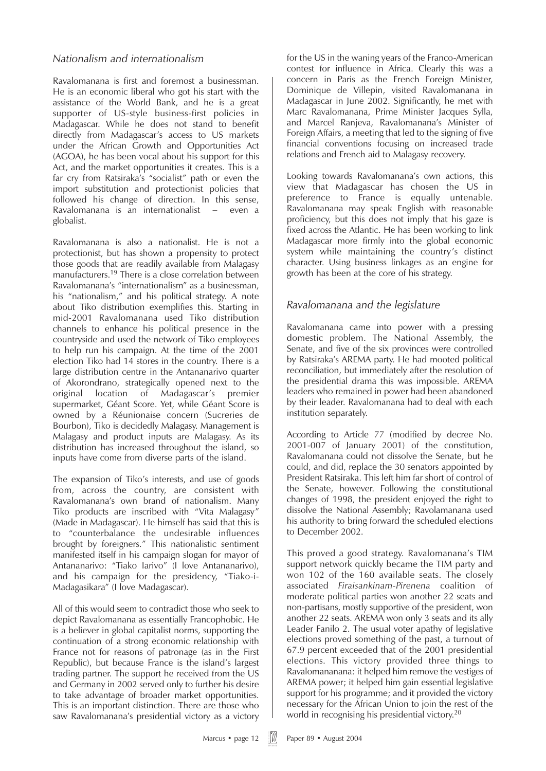### *Nationalism and internationalism*

Ravalomanana is first and foremost a businessman. He is an economic liberal who got his start with the assistance of the World Bank, and he is a great supporter of US-style business-first policies in Madagascar. While he does not stand to benefit directly from Madagascar's access to US markets under the African Growth and Opportunities Act (AGOA), he has been vocal about his support for this Act, and the market opportunities it creates. This is a far cry from Ratsiraka's "socialist" path or even the import substitution and protectionist policies that followed his change of direction. In this sense, Ravalomanana is an internationalist – even a globalist.

Ravalomanana is also a nationalist. He is not a protectionist, but has shown a propensity to protect those goods that are readily available from Malagasy manufacturers.19 There is a close correlation between Ravalomanana's "internationalism" as a businessman, his "nationalism," and his political strategy. A note about Tiko distribution exemplifies this. Starting in mid-2001 Ravalomanana used Tiko distribution channels to enhance his political presence in the countryside and used the network of Tiko employees to help run his campaign. At the time of the 2001 election Tiko had 14 stores in the country. There is a large distribution centre in the Antananarivo quarter of Akorondrano, strategically opened next to the original location of Madagascar's premier supermarket, Géant Score. Yet, while Géant Score is owned by a Réunionaise concern (Sucreries de Bourbon), Tiko is decidedly Malagasy. Management is Malagasy and product inputs are Malagasy. As its distribution has increased throughout the island, so inputs have come from diverse parts of the island.

The expansion of Tiko's interests, and use of goods from, across the country, are consistent with Ravalomanana's own brand of nationalism. Many Tiko products are inscribed with "Vita Malagasy" (Made in Madagascar). He himself has said that this is to "counterbalance the undesirable influences brought by foreigners." This nationalistic sentiment manifested itself in his campaign slogan for mayor of Antananarivo: "Tiako Iarivo" (I love Antananarivo), and his campaign for the presidency, "Tiako-i-Madagasikara" (I love Madagascar).

All of this would seem to contradict those who seek to depict Ravalomanana as essentially Francophobic. He is a believer in global capitalist norms, supporting the continuation of a strong economic relationship with France not for reasons of patronage (as in the First Republic), but because France is the island's largest trading partner. The support he received from the US and Germany in 2002 served only to further his desire to take advantage of broader market opportunities. This is an important distinction. There are those who saw Ravalomanana's presidential victory as a victory

for the US in the waning years of the Franco-American contest for influence in Africa. Clearly this was a concern in Paris as the French Foreign Minister, Dominique de Villepin, visited Ravalomanana in Madagascar in June 2002. Significantly, he met with Marc Ravalomanana, Prime Minister Jacques Sylla, and Marcel Ranjeva, Ravalomanana's Minister of Foreign Affairs, a meeting that led to the signing of five financial conventions focusing on increased trade relations and French aid to Malagasy recovery.

Looking towards Ravalomanana's own actions, this view that Madagascar has chosen the US in preference to France is equally untenable. Ravalomanana may speak English with reasonable proficiency, but this does not imply that his gaze is fixed across the Atlantic. He has been working to link Madagascar more firmly into the global economic system while maintaining the country's distinct character. Using business linkages as an engine for growth has been at the core of his strategy.

# *Ravalomanana and the legislature*

Ravalomanana came into power with a pressing domestic problem. The National Assembly, the Senate, and five of the six provinces were controlled by Ratsiraka's AREMA party. He had mooted political reconciliation, but immediately after the resolution of the presidential drama this was impossible. AREMA leaders who remained in power had been abandoned by their leader. Ravalomanana had to deal with each institution separately.

According to Article 77 (modified by decree No. 2001-007 of January 2001) of the constitution, Ravalomanana could not dissolve the Senate, but he could, and did, replace the 30 senators appointed by President Ratsiraka. This left him far short of control of the Senate, however. Following the constitutional changes of 1998, the president enjoyed the right to dissolve the National Assembly; Ravolamanana used his authority to bring forward the scheduled elections to December 2002.

This proved a good strategy. Ravalomanana's TIM support network quickly became the TIM party and won 102 of the 160 available seats. The closely associated *Firaisankinam-Pirenena* coalition of moderate political parties won another 22 seats and non-partisans, mostly supportive of the president, won another 22 seats. AREMA won only 3 seats and its ally Leader Fanilo 2. The usual voter apathy of legislative elections proved something of the past, a turnout of 67.9 percent exceeded that of the 2001 presidential elections. This victory provided three things to Ravalomananana: it helped him remove the vestiges of AREMA power; it helped him gain essential legislative support for his programme; and it provided the victory necessary for the African Union to join the rest of the world in recognising his presidential victory.<sup>20</sup>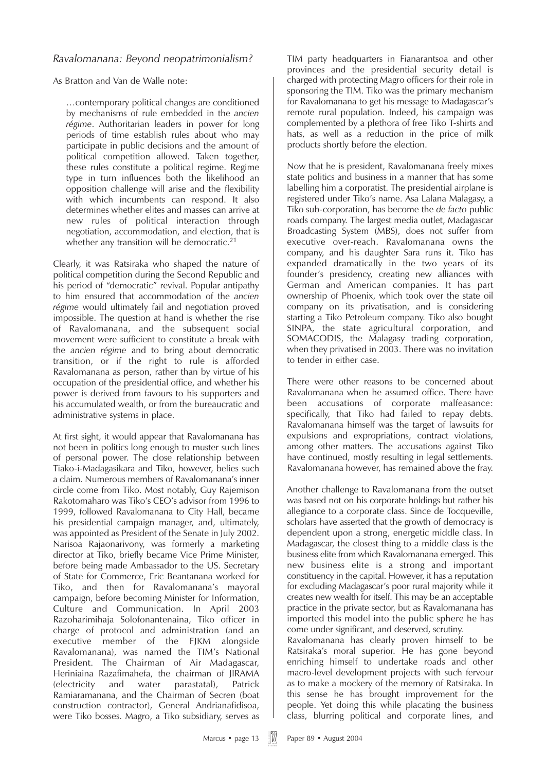### *Ravalomanana: Beyond neopatrimonialism?*

As Bratton and Van de Walle note:

…contemporary political changes are conditioned by mechanisms of rule embedded in the *ancien régime*. Authoritarian leaders in power for long periods of time establish rules about who may participate in public decisions and the amount of political competition allowed. Taken together, these rules constitute a political regime. Regime type in turn influences both the likelihood an opposition challenge will arise and the flexibility with which incumbents can respond. It also determines whether elites and masses can arrive at new rules of political interaction through negotiation, accommodation, and election, that is whether any transition will be democratic.<sup>21</sup>

Clearly, it was Ratsiraka who shaped the nature of political competition during the Second Republic and his period of "democratic" revival. Popular antipathy to him ensured that accommodation of the *ancien régime* would ultimately fail and negotiation proved impossible. The question at hand is whether the rise of Ravalomanana, and the subsequent social movement were sufficient to constitute a break with the *ancien régime* and to bring about democratic transition, or if the right to rule is afforded Ravalomanana as person, rather than by virtue of his occupation of the presidential office, and whether his power is derived from favours to his supporters and his accumulated wealth, or from the bureaucratic and administrative systems in place.

At first sight, it would appear that Ravalomanana has not been in politics long enough to muster such lines of personal power. The close relationship between Tiako-i-Madagasikara and Tiko, however, belies such a claim. Numerous members of Ravalomanana's inner circle come from Tiko. Most notably, Guy Rajemison Rakotomaharo was Tiko's CEO's advisor from 1996 to 1999, followed Ravalomanana to City Hall, became his presidential campaign manager, and, ultimately, was appointed as President of the Senate in July 2002. Narisoa Rajaonarivony, was formerly a marketing director at Tiko, briefly became Vice Prime Minister, before being made Ambassador to the US. Secretary of State for Commerce, Eric Beantanana worked for Tiko, and then for Ravalomanana's mayoral campaign, before becoming Minister for Information, Culture and Communication. In April 2003 Razoharimihaja Solofonantenaina, Tiko officer in charge of protocol and administration (and an executive member of the FJKM alongside Ravalomanana), was named the TIM's National President. The Chairman of Air Madagascar, Heriniaina Razafimahefa, the chairman of JIRAMA (electricity and water parastatal), Patrick Ramiaramanana, and the Chairman of Secren (boat construction contractor), General Andrianafidisoa, were Tiko bosses. Magro, a Tiko subsidiary, serves as

TIM party headquarters in Fianarantsoa and other provinces and the presidential security detail is charged with protecting Magro officers for their role in sponsoring the TIM. Tiko was the primary mechanism for Ravalomanana to get his message to Madagascar's remote rural population. Indeed, his campaign was complemented by a plethora of free Tiko T-shirts and hats, as well as a reduction in the price of milk products shortly before the election.

Now that he is president, Ravalomanana freely mixes state politics and business in a manner that has some labelling him a corporatist. The presidential airplane is registered under Tiko's name. Asa Lalana Malagasy, a Tiko sub-corporation, has become the *de facto* public roads company. The largest media outlet, Madagascar Broadcasting System (MBS), does not suffer from executive over-reach. Ravalomanana owns the company, and his daughter Sara runs it. Tiko has expanded dramatically in the two years of its founder's presidency, creating new alliances with German and American companies. It has part ownership of Phoenix, which took over the state oil company on its privatisation, and is considering starting a Tiko Petroleum company. Tiko also bought SINPA, the state agricultural corporation, and SOMACODIS, the Malagasy trading corporation, when they privatised in 2003. There was no invitation to tender in either case.

There were other reasons to be concerned about Ravalomanana when he assumed office. There have been accusations of corporate malfeasance: specifically, that Tiko had failed to repay debts. Ravalomanana himself was the target of lawsuits for expulsions and expropriations, contract violations, among other matters. The accusations against Tiko have continued, mostly resulting in legal settlements. Ravalomanana however, has remained above the fray.

Another challenge to Ravalomanana from the outset was based not on his corporate holdings but rather his allegiance to a corporate class. Since de Tocqueville, scholars have asserted that the growth of democracy is dependent upon a strong, energetic middle class. In Madagascar, the closest thing to a middle class is the business elite from which Ravalomanana emerged. This new business elite is a strong and important constituency in the capital. However, it has a reputation for excluding Madagascar's poor rural majority while it creates new wealth for itself. This may be an acceptable practice in the private sector, but as Ravalomanana has imported this model into the public sphere he has come under significant, and deserved, scrutiny.

Ravalomanana has clearly proven himself to be Ratsiraka's moral superior. He has gone beyond enriching himself to undertake roads and other macro-level development projects with such fervour as to make a mockery of the memory of Ratsiraka. In this sense he has brought improvement for the people. Yet doing this while placating the business class, blurring political and corporate lines, and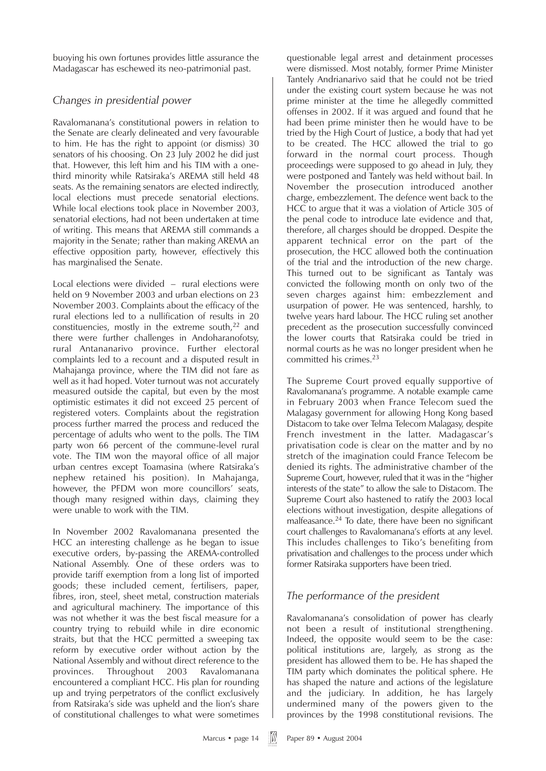buoying his own fortunes provides little assurance the Madagascar has eschewed its neo-patrimonial past.

# *Changes in presidential power*

Ravalomanana's constitutional powers in relation to the Senate are clearly delineated and very favourable to him. He has the right to appoint (or dismiss) 30 senators of his choosing. On 23 July 2002 he did just that. However, this left him and his TIM with a onethird minority while Ratsiraka's AREMA still held 48 seats. As the remaining senators are elected indirectly, local elections must precede senatorial elections. While local elections took place in November 2003, senatorial elections, had not been undertaken at time of writing. This means that AREMA still commands a majority in the Senate; rather than making AREMA an effective opposition party, however, effectively this has marginalised the Senate.

Local elections were divided – rural elections were held on 9 November 2003 and urban elections on 23 November 2003. Complaints about the efficacy of the rural elections led to a nullification of results in 20 constituencies, mostly in the extreme south,<sup>22</sup> and there were further challenges in Andoharanofotsy, rural Antananarivo province. Further electoral complaints led to a recount and a disputed result in Mahajanga province, where the TIM did not fare as well as it had hoped. Voter turnout was not accurately measured outside the capital, but even by the most optimistic estimates it did not exceed 25 percent of registered voters. Complaints about the registration process further marred the process and reduced the percentage of adults who went to the polls. The TIM party won 66 percent of the commune-level rural vote. The TIM won the mayoral office of all major urban centres except Toamasina (where Ratsiraka's nephew retained his position). In Mahajanga, however, the PFDM won more councillors' seats, though many resigned within days, claiming they were unable to work with the TIM.

In November 2002 Ravalomanana presented the HCC an interesting challenge as he began to issue executive orders, by-passing the AREMA-controlled National Assembly. One of these orders was to provide tariff exemption from a long list of imported goods; these included cement, fertilisers, paper, fibres, iron, steel, sheet metal, construction materials and agricultural machinery. The importance of this was not whether it was the best fiscal measure for a country trying to rebuild while in dire economic straits, but that the HCC permitted a sweeping tax reform by executive order without action by the National Assembly and without direct reference to the provinces. Throughout 2003 Ravalomanana encountered a compliant HCC. His plan for rounding up and trying perpetrators of the conflict exclusively from Ratsiraka's side was upheld and the lion's share of constitutional challenges to what were sometimes

questionable legal arrest and detainment processes were dismissed. Most notably, former Prime Minister Tantely Andrianarivo said that he could not be tried under the existing court system because he was not prime minister at the time he allegedly committed offenses in 2002. If it was argued and found that he had been prime minister then he would have to be tried by the High Court of Justice, a body that had yet to be created. The HCC allowed the trial to go forward in the normal court process. Though proceedings were supposed to go ahead in July, they were postponed and Tantely was held without bail. In November the prosecution introduced another charge, embezzlement. The defence went back to the HCC to argue that it was a violation of Article 305 of the penal code to introduce late evidence and that, therefore, all charges should be dropped. Despite the apparent technical error on the part of the prosecution, the HCC allowed both the continuation of the trial and the introduction of the new charge. This turned out to be significant as Tantaly was convicted the following month on only two of the seven charges against him: embezzlement and usurpation of power. He was sentenced, harshly, to twelve years hard labour. The HCC ruling set another precedent as the prosecution successfully convinced the lower courts that Ratsiraka could be tried in normal courts as he was no longer president when he committed his crimes.<sup>23</sup>

The Supreme Court proved equally supportive of Ravalomanana's programme. A notable example came in February 2003 when France Telecom sued the Malagasy government for allowing Hong Kong based Distacom to take over Telma Telecom Malagasy, despite French investment in the latter. Madagascar's privatisation code is clear on the matter and by no stretch of the imagination could France Telecom be denied its rights. The administrative chamber of the Supreme Court, however, ruled that it was in the "higher interests of the state" to allow the sale to Distacom. The Supreme Court also hastened to ratify the 2003 local elections without investigation, despite allegations of malfeasance.24 To date, there have been no significant court challenges to Ravalomanana's efforts at any level. This includes challenges to Tiko's benefiting from privatisation and challenges to the process under which former Ratsiraka supporters have been tried.

# *The performance of the president*

Ravalomanana's consolidation of power has clearly not been a result of institutional strengthening. Indeed, the opposite would seem to be the case: political institutions are, largely, as strong as the president has allowed them to be. He has shaped the TIM party which dominates the political sphere. He has shaped the nature and actions of the legislature and the judiciary. In addition, he has largely undermined many of the powers given to the provinces by the 1998 constitutional revisions. The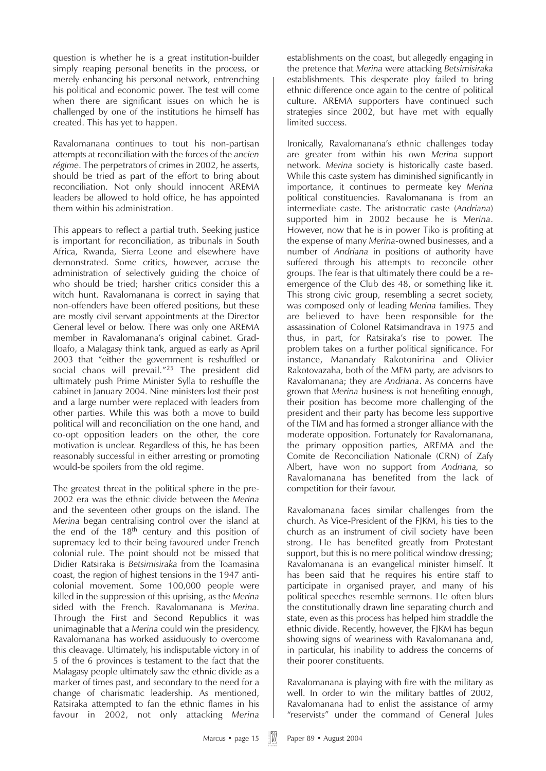question is whether he is a great institution-builder simply reaping personal benefits in the process, or merely enhancing his personal network, entrenching his political and economic power. The test will come when there are significant issues on which he is challenged by one of the institutions he himself has created. This has yet to happen.

Ravalomanana continues to tout his non-partisan attempts at reconciliation with the forces of the *ancien régime*. The perpetrators of crimes in 2002, he asserts, should be tried as part of the effort to bring about reconciliation. Not only should innocent AREMA leaders be allowed to hold office, he has appointed them within his administration.

This appears to reflect a partial truth. Seeking justice is important for reconciliation, as tribunals in South Africa, Rwanda, Sierra Leone and elsewhere have demonstrated. Some critics, however, accuse the administration of selectively guiding the choice of who should be tried; harsher critics consider this a witch hunt. Ravalomanana is correct in saying that non-offenders have been offered positions, but these are mostly civil servant appointments at the Director General level or below. There was only one AREMA member in Ravalomanana's original cabinet. Grad-Iloafo, a Malagasy think tank, argued as early as April 2003 that "either the government is reshuffled or social chaos will prevail."<sup>25</sup> The president did ultimately push Prime Minister Sylla to reshuffle the cabinet in January 2004. Nine ministers lost their post and a large number were replaced with leaders from other parties. While this was both a move to build political will and reconciliation on the one hand, and co-opt opposition leaders on the other, the core motivation is unclear. Regardless of this, he has been reasonably successful in either arresting or promoting would-be spoilers from the old regime.

The greatest threat in the political sphere in the pre-2002 era was the ethnic divide between the *Merina* and the seventeen other groups on the island. The *Merina* began centralising control over the island at the end of the  $18<sup>th</sup>$  century and this position of supremacy led to their being favoured under French colonial rule. The point should not be missed that Didier Ratsiraka is *Betsimisiraka* from the Toamasina coast, the region of highest tensions in the 1947 anticolonial movement. Some 100,000 people were killed in the suppression of this uprising, as the *Merina* sided with the French. Ravalomanana is *Merina*. Through the First and Second Republics it was unimaginable that a *Merina* could win the presidency. Ravalomanana has worked assiduously to overcome this cleavage. Ultimately, his indisputable victory in of 5 of the 6 provinces is testament to the fact that the Malagasy people ultimately saw the ethnic divide as a marker of times past, and secondary to the need for a change of charismatic leadership. As mentioned, Ratsiraka attempted to fan the ethnic flames in his favour in 2002, not only attacking *Merina*

establishments on the coast, but allegedly engaging in the pretence that *Merina* were attacking *Betsimisiraka* establishments*.* This desperate ploy failed to bring ethnic difference once again to the centre of political culture. AREMA supporters have continued such strategies since 2002, but have met with equally limited success.

Ironically, Ravalomanana's ethnic challenges today are greater from within his own *Merina* support network. *Merina* society is historically caste based. While this caste system has diminished significantly in importance, it continues to permeate key *Merina* political constituencies. Ravalomanana is from an intermediate caste. The aristocratic caste (*Andriana*) supported him in 2002 because he is *Merina*. However, now that he is in power Tiko is profiting at the expense of many *Merina*-owned businesses, and a number of *Andriana* in positions of authority have suffered through his attempts to reconcile other groups. The fear is that ultimately there could be a reemergence of the Club des 48, or something like it. This strong civic group, resembling a secret society, was composed only of leading *Merina* families. They are believed to have been responsible for the assassination of Colonel Ratsimandrava in 1975 and thus, in part, for Ratsiraka's rise to power. The problem takes on a further political significance. For instance, Manandafy Rakotonirina and Olivier Rakotovazaha, both of the MFM party, are advisors to Ravalomanana; they are *Andriana*. As concerns have grown that *Merina* business is not benefiting enough, their position has become more challenging of the president and their party has become less supportive of the TIM and has formed a stronger alliance with the moderate opposition. Fortunately for Ravalomanana, the primary opposition parties, AREMA and the Comite de Reconciliation Nationale (CRN) of Zafy Albert, have won no support from *Andriana,* so Ravalomanana has benefited from the lack of competition for their favour.

Ravalomanana faces similar challenges from the church. As Vice-President of the FJKM, his ties to the church as an instrument of civil society have been strong. He has benefited greatly from Protestant support, but this is no mere political window dressing; Ravalomanana is an evangelical minister himself. It has been said that he requires his entire staff to participate in organised prayer, and many of his political speeches resemble sermons. He often blurs the constitutionally drawn line separating church and state, even as this process has helped him straddle the ethnic divide. Recently, however, the FJKM has begun showing signs of weariness with Ravalomanana and, in particular, his inability to address the concerns of their poorer constituents.

Ravalomanana is playing with fire with the military as well. In order to win the military battles of 2002, Ravalomanana had to enlist the assistance of army "reservists" under the command of General Jules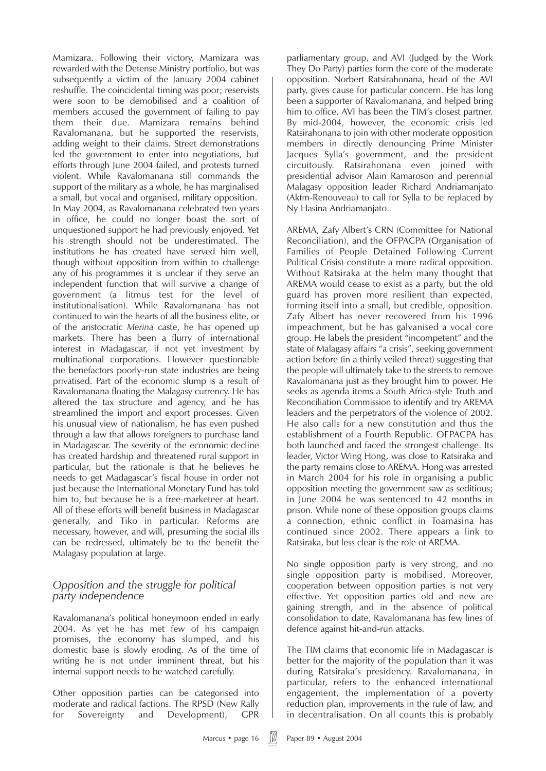Mamizara. Following their victory, Mamizara was rewarded with the Defense Ministry portfolio, but was subsequently a victim of the January 2004 cabinet reshuffle. The coincidental timing was poor; reservists were soon to be demobilised and a coalition of members accused the government of failing to pay them their due. Mamizara remains behind Ravalomanana, but he supported the reservists, adding weight to their claims. Street demonstrations led the government to enter into negotiations, but efforts through June 2004 failed, and protests turned violent. While Ravalomanana still commands the support of the military as a whole, he has marginalised a small, but vocal and organised, military opposition. In May 2004, as Ravalomanana celebrated two years in office, he could no longer boast the sort of unquestioned support he had previously enjoyed. Yet his strength should not be underestimated. The institutions he has created have served him well, though without opposition from within to challenge any of his programmes it is unclear if they serve an independent function that will survive a change of government (a litmus test for the level of institutionalisation). While Ravalomanana has not continued to win the hearts of all the business elite, or of the aristocratic *Merina* caste, he has opened up markets. There has been a flurry of international interest in Madagascar, if not yet investment by multinational corporations. However questionable the benefactors poorly-run state industries are being privatised. Part of the economic slump is a result of Ravalomanana floating the Malagasy currency. He has altered the tax structure and agency, and he has streamlined the import and export processes. Given his unusual view of nationalism, he has even pushed through a law that allows foreigners to purchase land in Madagascar. The severity of the economic decline has created hardship and threatened rural support in particular, but the rationale is that he believes he needs to get Madagascar's fiscal house in order not just because the International Monetary Fund has told him to, but because he is a free-marketeer at heart. All of these efforts will benefit business in Madagascar generally, and Tiko in particular. Reforms are necessary, however, and will, presuming the social ills can be redressed, ultimately be to the benefit the Malagasy population at large.

### *Opposition and the struggle for political party independence*

Ravalomanana's political honeymoon ended in early 2004. As yet he has met few of his campaign promises, the economy has slumped, and his domestic base is slowly eroding. As of the time of writing he is not under imminent threat, but his internal support needs to be watched carefully.

Other opposition parties can be categorised into moderate and radical factions. The RPSD (New Rally for Sovereignty and Development), GPR

parliamentary group, and AVI (Judged by the Work They Do Party) parties form the core of the moderate opposition. Norbert Ratsirahonana, head of the AVI party, gives cause for particular concern. He has long been a supporter of Ravalomanana, and helped bring him to office. AVI has been the TIM's closest partner. By mid-2004, however, the economic crisis led Ratsirahonana to join with other moderate opposition members in directly denouncing Prime Minister Jacques Sylla's government, and the president circuitously. Ratsirahonana even joined with presidential advisor Alain Ramaroson and perennial Malagasy opposition leader Richard Andriamanjato (Akfm-Renouveau) to call for Sylla to be replaced by Ny Hasina Andriamanjato.

AREMA, Zafy Albert's CRN (Committee for National Reconciliation), and the OFPACPA (Organisation of Families of People Detained Following Current Political Crisis) constitute a more radical opposition. Without Ratsiraka at the helm many thought that AREMA would cease to exist as a party, but the old guard has proven more resilient than expected, forming itself into a small, but credible, opposition. Zafy Albert has never recovered from his 1996 impeachment, but he has galvanised a vocal core group. He labels the president "incompetent" and the state of Malagasy affairs "a crisis", seeking government action before (in a thinly veiled threat) suggesting that the people will ultimately take to the streets to remove Ravalomanana just as they brought him to power. He seeks as agenda items a South Africa-style Truth and Reconciliation Commission to identify and try AREMA leaders and the perpetrators of the violence of 2002. He also calls for a new constitution and thus the establishment of a Fourth Republic. OFPACPA has both launched and faced the strongest challenge. Its leader, Victor Wing Hong, was close to Ratsiraka and the party remains close to AREMA. Hong was arrested in March 2004 for his role in organising a public opposition meeting the government saw as seditious; in June 2004 he was sentenced to 42 months in prison. While none of these opposition groups claims a connection, ethnic conflict in Toamasina has continued since 2002. There appears a link to Ratsiraka, but less clear is the role of AREMA.

No single opposition party is very strong, and no single opposition party is mobilised. Moreover, cooperation between opposition parties is not very effective. Yet opposition parties old and new are gaining strength, and in the absence of political consolidation to date, Ravalomanana has few lines of defence against hit-and-run attacks.

The TIM claims that economic life in Madagascar is better for the majority of the population than it was during Ratsiraka's presidency. Ravalomanana, in particular, refers to the enhanced international engagement, the implementation of a poverty reduction plan, improvements in the rule of law, and in decentralisation. On all counts this is probably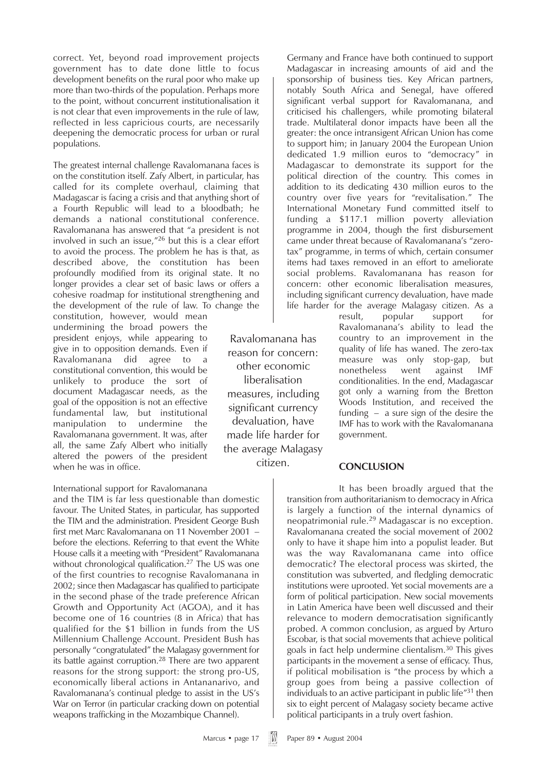correct. Yet, beyond road improvement projects government has to date done little to focus development benefits on the rural poor who make up more than two-thirds of the population. Perhaps more to the point, without concurrent institutionalisation it is not clear that even improvements in the rule of law, reflected in less capricious courts, are necessarily deepening the democratic process for urban or rural populations.

The greatest internal challenge Ravalomanana faces is on the constitution itself. Zafy Albert, in particular, has called for its complete overhaul, claiming that Madagascar is facing a crisis and that anything short of a Fourth Republic will lead to a bloodbath; he demands a national constitutional conference. Ravalomanana has answered that "a president is not involved in such an issue,"26 but this is a clear effort to avoid the process. The problem he has is that, as described above, the constitution has been profoundly modified from its original state. It no longer provides a clear set of basic laws or offers a cohesive roadmap for institutional strengthening and the development of the rule of law. To change the

constitution, however, would mean undermining the broad powers the president enjoys, while appearing to give in to opposition demands. Even if Ravalomanana did agree to constitutional convention, this would be unlikely to produce the sort of document Madagascar needs, as the goal of the opposition is not an effective fundamental law, but institutional manipulation to undermine the Ravalomanana government. It was, after all, the same Zafy Albert who initially altered the powers of the president when he was in office.

#### International support for Ravalomanana

and the TIM is far less questionable than domestic favour. The United States, in particular, has supported the TIM and the administration. President George Bush first met Marc Ravalomanana on 11 November 2001 – before the elections. Referring to that event the White House calls it a meeting with "President" Ravalomanana without chronological qualification.<sup>27</sup> The US was one of the first countries to recognise Ravalomanana in 2002; since then Madagascar has qualified to participate in the second phase of the trade preference African Growth and Opportunity Act (AGOA), and it has become one of 16 countries (8 in Africa) that has qualified for the \$1 billion in funds from the US Millennium Challenge Account. President Bush has personally "congratulated" the Malagasy government for its battle against corruption.<sup>28</sup> There are two apparent reasons for the strong support: the strong pro-US, economically liberal actions in Antananarivo, and Ravalomanana's continual pledge to assist in the US's War on Terror (in particular cracking down on potential weapons trafficking in the Mozambique Channel).

Ravalomanana has reason for concern: other economic liberalisation measures, including significant currency devaluation, have made life harder for the average Malagasy citizen.

Germany and France have both continued to support Madagascar in increasing amounts of aid and the sponsorship of business ties. Key African partners, notably South Africa and Senegal, have offered significant verbal support for Ravalomanana, and criticised his challengers, while promoting bilateral trade. Multilateral donor impacts have been all the greater: the once intransigent African Union has come to support him; in January 2004 the European Union dedicated 1.9 million euros to "democracy" in Madagascar to demonstrate its support for the political direction of the country. This comes in addition to its dedicating 430 million euros to the country over five years for "revitalisation." The International Monetary Fund committed itself to funding a \$117.1 million poverty alleviation programme in 2004, though the first disbursement came under threat because of Ravalomanana's "zerotax" programme, in terms of which, certain consumer items had taxes removed in an effort to ameliorate social problems. Ravalomanana has reason for concern: other economic liberalisation measures, including significant currency devaluation, have made life harder for the average Malagasy citizen. As a

result, popular support for Ravalomanana's ability to lead the country to an improvement in the quality of life has waned. The zero-tax measure was only stop-gap, but nonetheless went against IMF conditionalities. In the end, Madagascar got only a warning from the Bretton Woods Institution, and received the funding – a sure sign of the desire the IMF has to work with the Ravalomanana government.

#### **CONCLUSION**

It has been broadly argued that the transition from authoritarianism to democracy in Africa is largely a function of the internal dynamics of neopatrimonial rule.<sup>29</sup> Madagascar is no exception. Ravalomanana created the social movement of 2002 only to have it shape him into a populist leader. But was the way Ravalomanana came into office democratic? The electoral process was skirted, the constitution was subverted, and fledgling democratic institutions were uprooted. Yet social movements are a form of political participation. New social movements in Latin America have been well discussed and their relevance to modern democratisation significantly probed. A common conclusion, as argued by Arturo Escobar, is that social movements that achieve political goals in fact help undermine clientalism.30 This gives participants in the movement a sense of efficacy. Thus, if political mobilisation is "the process by which a group goes from being a passive collection of individuals to an active participant in public life"<sup>31</sup> then six to eight percent of Malagasy society became active political participants in a truly overt fashion.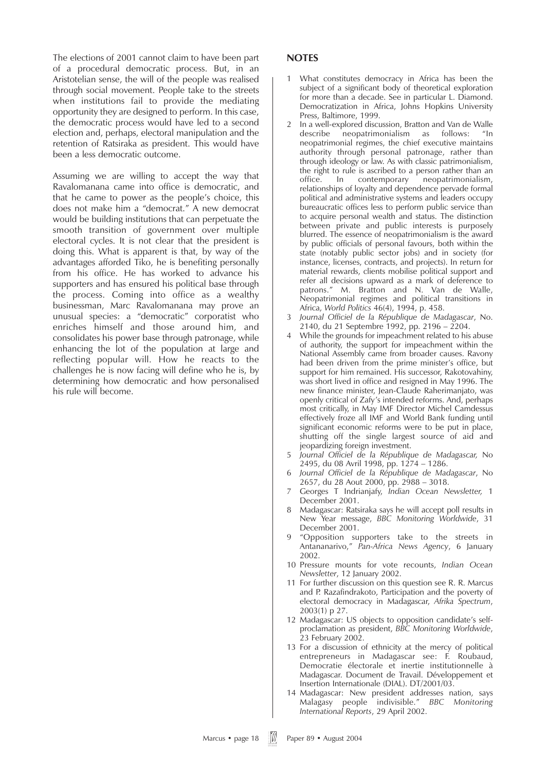The elections of 2001 cannot claim to have been part of a procedural democratic process. But, in an Aristotelian sense, the will of the people was realised through social movement. People take to the streets when institutions fail to provide the mediating opportunity they are designed to perform. In this case, the democratic process would have led to a second election and, perhaps, electoral manipulation and the retention of Ratsiraka as president. This would have been a less democratic outcome.

Assuming we are willing to accept the way that Ravalomanana came into office is democratic, and that he came to power as the people's choice, this does not make him a "democrat." A new democrat would be building institutions that can perpetuate the smooth transition of government over multiple electoral cycles. It is not clear that the president is doing this. What is apparent is that, by way of the advantages afforded Tiko, he is benefiting personally from his office. He has worked to advance his supporters and has ensured his political base through the process. Coming into office as a wealthy businessman, Marc Ravalomanana may prove an unusual species: a "democratic" corporatist who enriches himself and those around him, and consolidates his power base through patronage, while enhancing the lot of the population at large and reflecting popular will. How he reacts to the challenges he is now facing will define who he is, by determining how democratic and how personalised his rule will become.

#### **NOTES**

- 1 What constitutes democracy in Africa has been the subject of a significant body of theoretical exploration for more than a decade. See in particular L. Diamond. Democratization in Africa, Johns Hopkins University Press, Baltimore, 1999.
- 2 In a well-explored discussion, Bratton and Van de Walle describe neopatrimonialism as follows: "In neopatrimonial regimes, the chief executive maintains authority through personal patronage, rather than through ideology or law. As with classic patrimonialism, the right to rule is ascribed to a person rather than an office. In contemporary neopatrimonialism, relationships of loyalty and dependence pervade formal political and administrative systems and leaders occupy bureaucratic offices less to perform public service than to acquire personal wealth and status. The distinction between private and public interests is purposely blurred. The essence of neopatrimonialism is the award by public officials of personal favours, both within the state (notably public sector jobs) and in society (for instance, licenses, contracts, and projects). In return for material rewards, clients mobilise political support and refer all decisions upward as a mark of deference to patrons." M. Bratton and N. Van de Walle, Neopatrimonial regimes and political transitions in Africa, *World Politics* 46(4), 1994, p. 458.
- 3 *Journal Officiel de la République de Madagascar*, No. 2140, du 21 Septembre 1992, pp. 2196 – 2204.
- 4 While the grounds for impeachment related to his abuse of authority, the support for impeachment within the National Assembly came from broader causes. Ravony had been driven from the prime minister's office, but support for him remained. His successor, Rakotovahiny, was short lived in office and resigned in May 1996. The new finance minister, Jean-Claude Raherimanjato, was openly critical of Zafy's intended reforms. And, perhaps most critically, in May IMF Director Michel Camdessus effectively froze all IMF and World Bank funding until significant economic reforms were to be put in place, shutting off the single largest source of aid and jeopardizing foreign investment.
- 5 *Journal Officiel de la République de Madagascar,* No 2495, du 08 Avril 1998, pp. 1274 – 1286.
- 6 *Journal Officiel de la République de Madagascar*, No 2657, du 28 Aout 2000, pp. 2988 – 3018.
- 7 Georges T Indrianjafy, *Indian Ocean Newsletter,* 1 December 2001.
- 8 Madagascar: Ratsiraka says he will accept poll results in New Year message, *BBC Monitoring Worldwide*, 31 December 2001.
- 9 "Opposition supporters take to the streets in Antananarivo," *Pan-Africa News Agency*, 6 January 2002.
- 10 Pressure mounts for vote recounts, *Indian Ocean Newsletter*, 12 January 2002.
- 11 For further discussion on this question see R. R. Marcus and P. Razafindrakoto, Participation and the poverty of electoral democracy in Madagascar, *Afrika Spectrum*, 2003(1) p 27.
- 12 Madagascar: US objects to opposition candidate's selfproclamation as president, *BBC Monitoring Worldwide*, 23 February 2002.
- 13 For a discussion of ethnicity at the mercy of political entrepreneurs in Madagascar see: F. Roubaud, Democratie électorale et inertie institutionnelle à Madagascar. Document de Travail. Développement et Insertion Internationale (DIAL). DT/2001/03.
- 14 Madagascar: New president addresses nation, says Malagasy people indivisible." *BBC Monitoring International Reports*, 29 April 2002.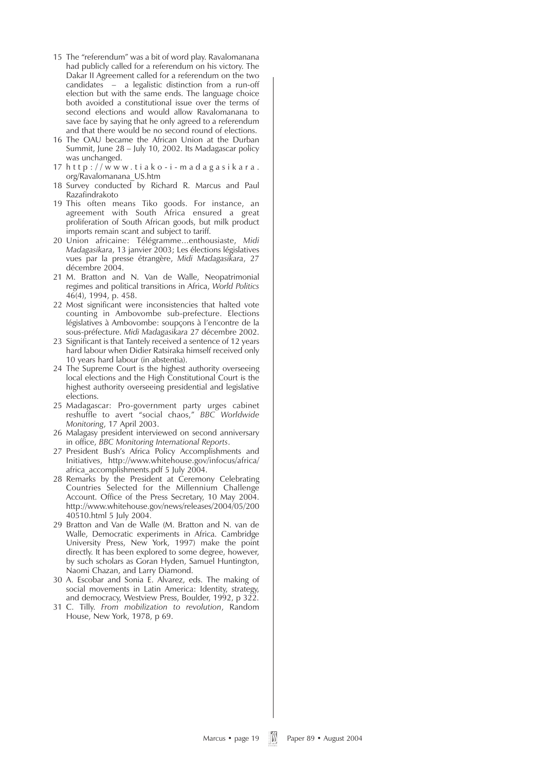- 15 The "referendum" was a bit of word play. Ravalomanana had publicly called for a referendum on his victory. The Dakar II Agreement called for a referendum on the two candidates  $-$  a legalistic distinction from a run-off election but with the same ends. The language choice both avoided a constitutional issue over the terms of second elections and would allow Ravalomanana to save face by saying that he only agreed to a referendum and that there would be no second round of elections.
- 16 The OAU became the African Union at the Durban Summit, June 28 – July 10, 2002. Its Madagascar policy was unchanged.
- $17$  http://www.tiako-i-madagasikara. org/Ravalomanana\_US.htm
- 18 Survey conducted by Richard R. Marcus and Paul Razafindrakoto
- 19 This often means Tiko goods. For instance, an agreement with South Africa ensured a great proliferation of South African goods, but milk product imports remain scant and subject to tariff.
- 20 Union africaine: Télégramme...enthousiaste, *Midi Madagasikara*, 13 janvier 2003; Les élections législatives vues par la presse étrangère, *Midi Madagasikara*, 27 décembre 2004.
- 21 M. Bratton and N. Van de Walle, Neopatrimonial regimes and political transitions in Africa, *World Politics* 46(4), 1994, p. 458.
- 22 Most significant were inconsistencies that halted vote counting in Ambovombe sub-prefecture. Elections législatives à Ambovombe: soupçons à l'encontre de la sous-préfecture. *Midi Madagasikara* 27 décembre 2002.
- 23 Significant is that Tantely received a sentence of 12 years hard labour when Didier Ratsiraka himself received only 10 years hard labour (in abstentia).
- 24 The Supreme Court is the highest authority overseeing local elections and the High Constitutional Court is the highest authority overseeing presidential and legislative elections.
- 25 Madagascar: Pro-government party urges cabinet reshuffle to avert "social chaos," *BBC Worldwide Monitoring*, 17 April 2003.
- 26 Malagasy president interviewed on second anniversary in office, *BBC Monitoring International Reports*.
- 27 President Bush's Africa Policy Accomplishments and Initiatives, http://www.whitehouse.gov/infocus/africa/ africa\_accomplishments.pdf 5 July 2004.
- 28 Remarks by the President at Ceremony Celebrating Countries Selected for the Millennium Challenge Account. Office of the Press Secretary, 10 May 2004. http://www.whitehouse.gov/news/releases/2004/05/200 40510.html 5 July 2004.
- 29 Bratton and Van de Walle (M. Bratton and N. van de Walle, Democratic experiments in Africa. Cambridge University Press, New York, 1997) make the point directly. It has been explored to some degree, however, by such scholars as Goran Hyden, Samuel Huntington, Naomi Chazan, and Larry Diamond.
- 30 A. Escobar and Sonia E. Alvarez, eds. The making of social movements in Latin America: Identity, strategy, and democracy, Westview Press, Boulder, 1992, p 322.
- 31 C. Tilly. *From mobilization to revolution*, Random House, New York, 1978, p 69.